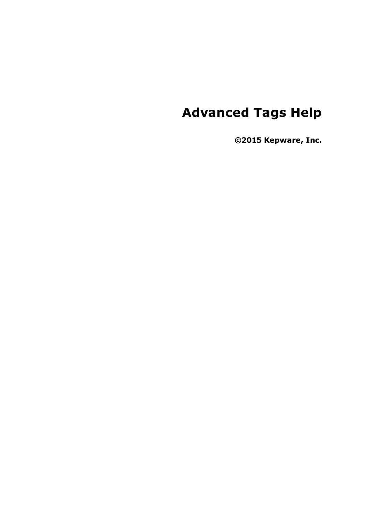# **Advanced Tags Help**

**©2015 Kepware, Inc.**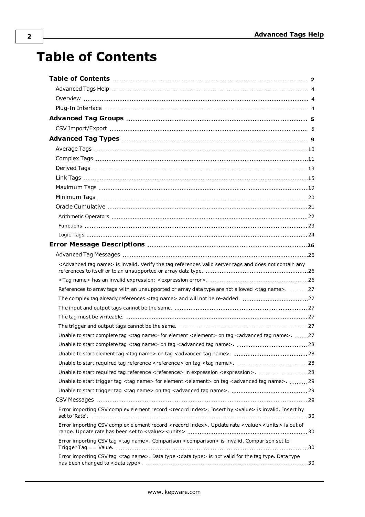# <span id="page-1-0"></span>**Table of Contents**

| <advanced name="" tag=""> is invalid. Verify the tag references valid server tags and does not contain any</advanced>            |  |
|----------------------------------------------------------------------------------------------------------------------------------|--|
|                                                                                                                                  |  |
| References to array tags with an unsupported or array data type are not allowed <tag name="">. 27</tag>                          |  |
|                                                                                                                                  |  |
|                                                                                                                                  |  |
|                                                                                                                                  |  |
|                                                                                                                                  |  |
| Unable to start complete tag <tag name=""> for element <element> on tag <advanced name="" tag="">. 27</advanced></element></tag> |  |
|                                                                                                                                  |  |
| Unable to start element tag <tag name=""> on tag <advanced name="" tag="">.  28</advanced></tag>                                 |  |
|                                                                                                                                  |  |
| Unable to start required tag reference <reference> in expression <expression>. 28</expression></reference>                       |  |
| Unable to start trigger tag <tag name=""> for element <element> on tag <advanced name="" tag="">. 29</advanced></element></tag>  |  |
|                                                                                                                                  |  |
|                                                                                                                                  |  |
| Error importing CSV complex element record <record index="">. Insert by <value> is invalid. Insert by</value></record>           |  |
| Error importing CSV complex element record < record index>. Update rate < value> <units> is out of</units>                       |  |
| Error importing CSV tag <tag name="">. Comparison <comparison> is invalid. Comparison set to</comparison></tag>                  |  |
| Error importing CSV tag <tag name="">. Data type <data type=""> is not valid for the tag type. Data type</data></tag>            |  |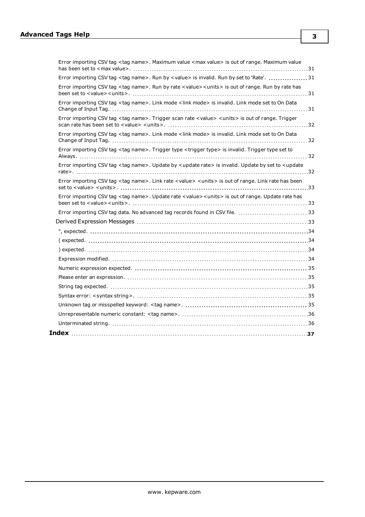| Error importing CSV tag <tag name="">. Maximum value <max value=""> is out of range. Maximum value</max></tag>                                   |  |
|--------------------------------------------------------------------------------------------------------------------------------------------------|--|
| Error importing CSV tag <tag name="">. Run by <value> is invalid. Run by set to 'Rate'. 31</value></tag>                                         |  |
| Error importing CSV tag <tag name="">. Run by rate <value> <units> is out of range. Run by rate has</units></value></tag>                        |  |
| Error importing CSV tag <tag name="">. Link mode <link mode=""/> is invalid. Link mode set to On Data</tag>                                      |  |
| Error importing CSV tag <tag name="">. Trigger scan rate <value> <units> is out of range. Trigger</units></value></tag>                          |  |
| Error importing CSV tag <tag name="">. Link mode <link mode=""/> is invalid. Link mode set to On Data</tag>                                      |  |
| Error importing CSV tag <tag name="">. Trigger type <trigger type=""> is invalid. Trigger type set to</trigger></tag>                            |  |
| Error importing CSV tag <tag name="">. Update by <update rate=""> is invalid. Update by set to <update< td=""><td></td></update<></update></tag> |  |
| Error importing CSV tag <tag name="">. Link rate <value> <units> is out of range. Link rate has been</units></value></tag>                       |  |
| Error importing CSV tag <tag name="">. Update rate <value><units> is out of range. Update rate has</units></value></tag>                         |  |
| Error importing CSV tag data. No advanced tag records found in CSV file. 33                                                                      |  |
|                                                                                                                                                  |  |
|                                                                                                                                                  |  |
|                                                                                                                                                  |  |
|                                                                                                                                                  |  |
|                                                                                                                                                  |  |
|                                                                                                                                                  |  |
|                                                                                                                                                  |  |
|                                                                                                                                                  |  |
|                                                                                                                                                  |  |
|                                                                                                                                                  |  |
|                                                                                                                                                  |  |
|                                                                                                                                                  |  |
|                                                                                                                                                  |  |

**3**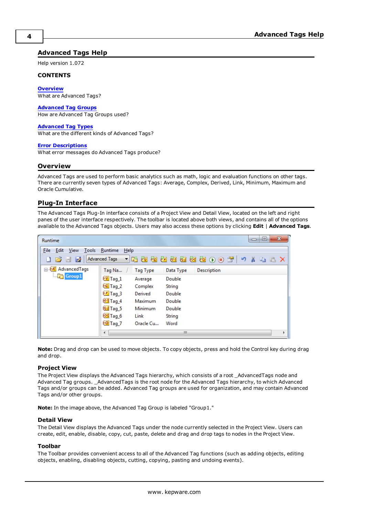### <span id="page-3-0"></span>**Advanced Tags Help**

Help version 1.072

#### **CONTENTS**

**[Overview](#page-3-1)** What are Advanced Tags?

#### **[Advanced](#page-4-0) Tag Groups**

How are Advanced Tag Groups used?

#### **[Advanced](#page-8-0) Tag Types**

What are the different kinds of Advanced Tags?

#### **Error [Descriptions](#page-25-0)**

<span id="page-3-1"></span>What error messages do Advanced Tags produce?

#### **Overview**

Advanced Tags are used to perform basic analytics such as math, logic and evaluation functions on other tags. There are currently seven types of Advanced Tags: Average, Complex, Derived, Link, Minimum, Maximum and Oracle Cumulative.

#### <span id="page-3-2"></span>**Plug-In Interface**

The Advanced Tags Plug-In interface consists of a Project View and Detail View, located on the left and right panes of the user interface respectively. The toolbar is located above both views, and contains all of the options available to the Advanced Tags objects. Users may also access these options by clicking **Edit** | **Advanced Tags**.

| Runtime                                           |                     |                 |           |                                                                                                                                                             | $\mathbf{x}$<br>▣<br>$\equiv$ |
|---------------------------------------------------|---------------------|-----------------|-----------|-------------------------------------------------------------------------------------------------------------------------------------------------------------|-------------------------------|
| <b>File</b><br>Edit<br>View<br>Tools              | Runtime<br>Help     |                 |           |                                                                                                                                                             |                               |
| ø<br><b>DB</b> d                                  | Advanced Tags       |                 |           | $\rightarrow$ 4 + $\rightarrow$ 4 + $\rightarrow$ 4 + $\rightarrow$ 4 + $\rightarrow$ 4 + $\rightarrow$ 7 + $\rightarrow$ 4 + $\rightarrow$ 7 $\rightarrow$ |                               |
| <b>E</b> <sup>6</sup> A <sup>†</sup> AdvancedTags | Tag Na              | <b>Tag Type</b> | Data Type | <b>Description</b>                                                                                                                                          |                               |
| <b>Communication</b>                              | $\sqrt[6]{7}$ Tag_1 | Average         | Double    |                                                                                                                                                             |                               |
|                                                   | $eC$ Tag_2          | Complex         | String    |                                                                                                                                                             |                               |
|                                                   | $\sqrt{1}$ Tag_3    | Derived         | Double    |                                                                                                                                                             |                               |
|                                                   | <b>Tag_4</b>        | Maximum         | Double    |                                                                                                                                                             |                               |
|                                                   | <b>Ed</b> Tag_5     | Minimum         | Double    |                                                                                                                                                             |                               |
|                                                   | <b>Pod</b> Tag_6    | Link            | String    |                                                                                                                                                             |                               |
|                                                   | $60$ Tag_7          | Oracle Cu       | Word      |                                                                                                                                                             |                               |
|                                                   | ∢                   |                 | Ш         |                                                                                                                                                             | k                             |

**Note:** Drag and drop can be used to move objects. To copy objects, press and hold the Control key during drag and drop.

#### **Project View**

The Project View displays the Advanced Tags hierarchy, which consists of a root \_AdvancedTags node and Advanced Tag groups. \_AdvancedTags is the root node for the Advanced Tags hierarchy, to which Advanced Tags and/or groups can be added. Advanced Tag groups are used for organization, and may contain Advanced Tags and/or other groups.

**Note:** In the image above, the Advanced Tag Group is labeled "Group1."

#### **Detail View**

The Detail View displays the Advanced Tags under the node currently selected in the Project View. Users can create, edit, enable, disable, copy, cut, paste, delete and drag and drop tags to nodes in the Project View.

#### **Toolbar**

The Toolbar provides convenient access to all of the Advanced Tag functions (such as adding objects, editing objects, enabling, disabling objects, cutting, copying, pasting and undoing events).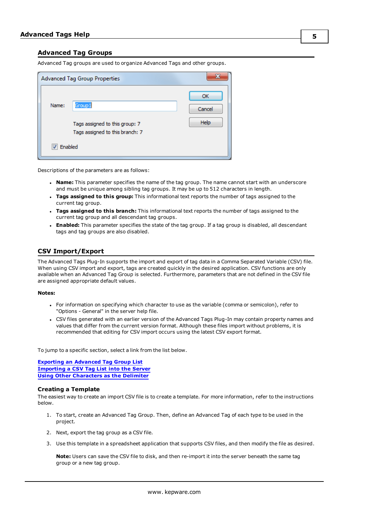#### <span id="page-4-0"></span>**Advanced Tag Groups**

Advanced Tag groups are used to organize Advanced Tags and other groups.

|         | <b>Advanced Tag Group Properties</b>                                        | x                           |
|---------|-----------------------------------------------------------------------------|-----------------------------|
| Name:   | Group1<br>Tags assigned to this group: 7<br>Tags assigned to this branch: 7 | ОК<br>Cancel<br><b>Help</b> |
| Enabled |                                                                             |                             |

Descriptions of the parameters are as follows:

- <sup>l</sup> **Name:** This parameter specifies the name of the tag group. The name cannot start with an underscore and must be unique among sibling tag groups. It may be up to 512 characters in length.
- <sup>l</sup> **Tags assigned to this group:** This informational text reports the number of tags assigned to the current tag group.
- <sup>l</sup> **Tags assigned to this branch:** This informational text reports the number of tags assigned to the current tag group and all descendant tag groups.
- <sup>l</sup> **Enabled:** This parameter specifies the state of the tag group. If a tag group is disabled, all descendant tags and tag groups are also disabled.

#### <span id="page-4-1"></span>**CSV Import/Export**

The Advanced Tags Plug-In supports the import and export of tag data in a Comma Separated Variable (CSV) file. When using CSV import and export, tags are created quickly in the desired application. CSV functions are only available when an Advanced Tag Group is selected. Furthermore, parameters that are not defined in the CSV file are assigned appropriate default values.

#### **Notes:**

- For information on specifying which character to use as the variable (comma or semicolon), refer to "Options - General" in the server help file.
- CSV files generated with an earlier version of the Advanced Tags Plug-In may contain property names and values that differ from the current version format. Although these files import without problems, it is recommended that editing for CSV import occurs using the latest CSV export format.

To jump to a specific section, select a link from the list below.

**Exporting an [Advanced](#page-4-2) Tag Group List [Importing](#page-7-0) a CSV Tag List into the Server Using Other [Characters](#page-7-1) as the Delimiter**

#### **Creating a Template**

The easiest way to create an import CSV file is to create a template. For more information, refer to the instructions below.

- 1. To start, create an Advanced Tag Group. Then, define an Advanced Tag of each type to be used in the project.
- <span id="page-4-2"></span>2. Next, export the tag group as a CSV file.
- 3. Use this template in a spreadsheet application that supports CSV files, and then modify the file as desired.

**Note:** Users can save the CSV file to disk, and then re-import it into the server beneath the same tag group or a new tag group.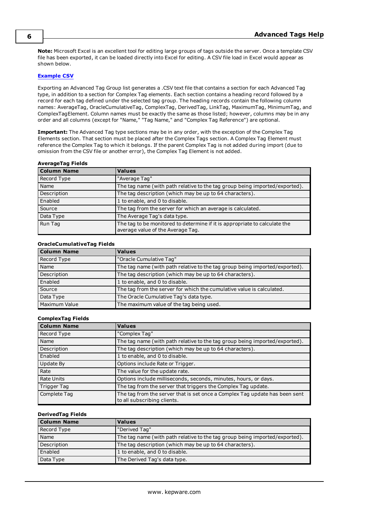**Note:** Microsoft Excel is an excellent tool for editing large groups of tags outside the server. Once a template CSV file has been exported, it can be loaded directly into Excel for editing. A CSV file load in Excel would appear as shown below.

#### **[Example](#page-7-2) CSV**

Exporting an Advanced Tag Group list generates a .CSV text file that contains a section for each Advanced Tag type, in addition to a section for Complex Tag elements. Each section contains a heading record followed by a record for each tag defined under the selected tag group. The heading records contain the following column names: AverageTag, OracleCumulativeTag, ComplexTag, DerivedTag, LinkTag, MaximumTag, MinimumTag, and ComplexTagElement. Column names must be exactly the same as those listed; however, columns may be in any order and all columns (except for "Name," "Tag Name," and "Complex Tag Reference") are optional.

**Important:** The Advanced Tag type sections may be in any order, with the exception of the Complex Tag Elements section. That section must be placed after the Complex Tags section. A Complex Tag Element must reference the Complex Tag to which it belongs. If the parent Complex Tag is not added during import (due to omission from the CSV file or another error), the Complex Tag Element is not added.

#### **AverageTag Fields**

| <b>Column Name</b> | <b>Values</b>                                                                                                   |
|--------------------|-----------------------------------------------------------------------------------------------------------------|
| Record Type        | "Average Tag"                                                                                                   |
| Name               | The tag name (with path relative to the tag group being imported/exported).                                     |
| Description        | The tag description (which may be up to 64 characters).                                                         |
| Enabled            | 1 to enable, and 0 to disable.                                                                                  |
| Source             | The tag from the server for which an average is calculated.                                                     |
| Data Type          | The Average Tag's data type.                                                                                    |
| Run Tag            | The tag to be monitored to determine if it is appropriate to calculate the<br>average value of the Average Tag. |

#### **OracleCumulativeTag Fields**

| Column Name   | <b>Values</b>                                                               |
|---------------|-----------------------------------------------------------------------------|
| Record Type   | "Oracle Cumulative Tag"                                                     |
| Name          | The tag name (with path relative to the tag group being imported/exported). |
| Description   | The tag description (which may be up to 64 characters).                     |
| Enabled       | 1 to enable, and 0 to disable.                                              |
| Source        | The tag from the server for which the cumulative value is calculated.       |
| Data Type     | The Oracle Cumulative Tag's data type.                                      |
| Maximum Value | The maximum value of the tag being used.                                    |

#### **ComplexTag Fields**

| <b>Column Name</b> | <b>Values</b>                                                                                              |
|--------------------|------------------------------------------------------------------------------------------------------------|
| Record Type        | "Complex Tag"                                                                                              |
| Name               | The tag name (with path relative to the tag group being imported/exported).                                |
| Description        | The tag description (which may be up to 64 characters).                                                    |
| Enabled            | 1 to enable, and 0 to disable.                                                                             |
| Update By          | Options include Rate or Trigger.                                                                           |
| Rate               | The value for the update rate.                                                                             |
| Rate Units         | Options include milliseconds, seconds, minutes, hours, or days.                                            |
| Trigger Tag        | The tag from the server that triggers the Complex Tag update.                                              |
| Complete Tag       | The tag from the server that is set once a Complex Tag update has been sent<br>to all subscribing clients. |

### **DerivedTag Fields**

| <b>Column Name</b> | <b>Values</b>                                                               |
|--------------------|-----------------------------------------------------------------------------|
| Record Type        | "Derived Tag"                                                               |
| Name               | The tag name (with path relative to the tag group being imported/exported). |
| Description        | The tag description (which may be up to 64 characters).                     |
| Enabled            | 1 to enable, and 0 to disable.                                              |
| Data Type          | The Derived Tag's data type.                                                |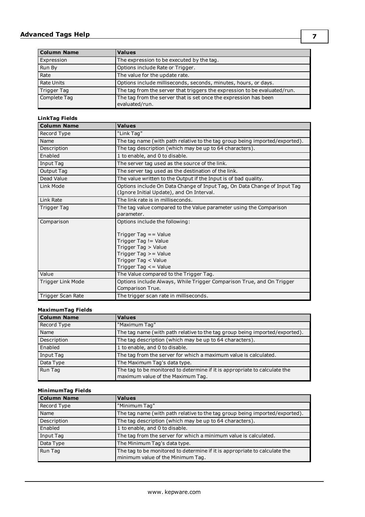# **Advanced Tags Help**

| <b>Column Name</b> | <b>Values</b>                                                                      |
|--------------------|------------------------------------------------------------------------------------|
| Expression         | The expression to be executed by the tag.                                          |
| Run By             | Options include Rate or Trigger.                                                   |
| Rate               | The value for the update rate.                                                     |
| <b>Rate Units</b>  | Options include milliseconds, seconds, minutes, hours, or days.                    |
| <b>Trigger Tag</b> | The tag from the server that triggers the expression to be evaluated/run.          |
| Complete Tag       | The tag from the server that is set once the expression has been<br>evaluated/run. |

## **LinkTag Fields**

| <b>Column Name</b> | <b>Values</b>                                                                                                                                                                          |
|--------------------|----------------------------------------------------------------------------------------------------------------------------------------------------------------------------------------|
| Record Type        | "Link Tag"                                                                                                                                                                             |
| Name               | The tag name (with path relative to the tag group being imported/exported).                                                                                                            |
| Description        | The tag description (which may be up to 64 characters).                                                                                                                                |
| Enabled            | 1 to enable, and 0 to disable.                                                                                                                                                         |
| Input Tag          | The server tag used as the source of the link.                                                                                                                                         |
| Output Tag         | The server tag used as the destination of the link.                                                                                                                                    |
| Dead Value         | The value written to the Output if the Input is of bad quality.                                                                                                                        |
| Link Mode          | Options include On Data Change of Input Tag, On Data Change of Input Tag<br>(Ignore Initial Update), and On Interval.                                                                  |
| Link Rate          | The link rate is in milliseconds.                                                                                                                                                      |
| Trigger Tag        | The tag value compared to the Value parameter using the Comparison<br>parameter.                                                                                                       |
| Comparison         | Options include the following:<br>Trigger Tag $=$ Value<br>Trigger Tag != Value<br>Trigger Tag > Value<br>Trigger Tag $>$ = Value<br>Trigger Tag < Value<br>Trigger Tag $\leq$ - Value |
| Value              | The Value compared to the Trigger Tag.                                                                                                                                                 |
| Trigger Link Mode  | Options include Always, While Trigger Comparison True, and On Trigger<br>Comparison True.                                                                                              |
| Trigger Scan Rate  | The trigger scan rate in milliseconds.                                                                                                                                                 |

### **MaximumTag Fields**

| <b>Column Name</b> | <b>Values</b>                                                                                                   |
|--------------------|-----------------------------------------------------------------------------------------------------------------|
| Record Type        | "Maximum Tag"                                                                                                   |
| Name               | The tag name (with path relative to the tag group being imported/exported).                                     |
| Description        | The tag description (which may be up to 64 characters).                                                         |
| Enabled            | 1 to enable, and 0 to disable.                                                                                  |
| Input Tag          | The tag from the server for which a maximum value is calculated.                                                |
| Data Type          | The Maximum Tag's data type.                                                                                    |
| Run Tag            | The tag to be monitored to determine if it is appropriate to calculate the<br>maximum value of the Maximum Tag. |

### **MinimumTag Fields**

| <b>Column Name</b> | <b>Values</b>                                                                                                   |
|--------------------|-----------------------------------------------------------------------------------------------------------------|
| Record Type        | "Minimum Tag"                                                                                                   |
| Name               | The tag name (with path relative to the tag group being imported/exported).                                     |
| Description        | The tag description (which may be up to 64 characters).                                                         |
| Enabled            | 1 to enable, and 0 to disable.                                                                                  |
| Input Tag          | The tag from the server for which a minimum value is calculated.                                                |
| Data Type          | The Minimum Tag's data type.                                                                                    |
| Run Tag            | The tag to be monitored to determine if it is appropriate to calculate the<br>minimum value of the Minimum Tag. |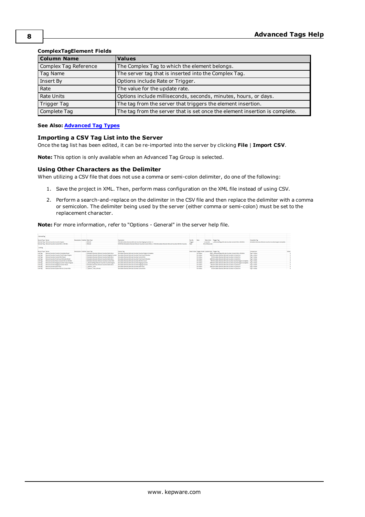| <b>Column Name</b>    | <b>Values</b>                                                               |
|-----------------------|-----------------------------------------------------------------------------|
| Complex Tag Reference | The Complex Tag to which the element belongs.                               |
| Tag Name              | The server tag that is inserted into the Complex Tag.                       |
| Insert By             | Options include Rate or Trigger.                                            |
| Rate                  | The value for the update rate.                                              |
| <b>Rate Units</b>     | Options include milliseconds, seconds, minutes, hours, or days.             |
| Trigger Tag           | The tag from the server that triggers the element insertion.                |
| Complete Tag          | The tag from the server that is set once the element insertion is complete. |

### **ComplexTagElement Fields**

#### <span id="page-7-0"></span>**See Also: [Advanced](#page-8-0) Tag Types**

#### **Importing a CSV Tag List into the Server**

Once the tag list has been edited, it can be re-imported into the server by clicking **File** | **Import CSV**.

<span id="page-7-1"></span>**Note:** This option is only available when an Advanced Tag Group is selected.

#### **Using Other Characters as the Delimiter**

When utilizing a CSV file that does not use a comma or semi-colon delimiter, do one of the following:

- 1. Save the project in XML. Then, perform mass configuration on the XML file instead of using CSV.
- <span id="page-7-2"></span>2. Perform a search-and-replace on the delimiter in the CSV file and then replace the delimiter with a comma or semicolon. The delimiter being used by the server (either comma or semi-colon) must be set to the replacement character.

**Note:** For more information, refer to "Options - General" in the server help file.

| : DerivedTag     |                                                   |                               |                                                   |                                                                                                                     |         |          |                                                 |                                                                                |                                                          |       |
|------------------|---------------------------------------------------|-------------------------------|---------------------------------------------------|---------------------------------------------------------------------------------------------------------------------|---------|----------|-------------------------------------------------|--------------------------------------------------------------------------------|----------------------------------------------------------|-------|
|                  |                                                   |                               |                                                   |                                                                                                                     |         |          |                                                 |                                                                                |                                                          |       |
| Record Type Name |                                                   | Description Enabled Data Type |                                                   | Expression                                                                                                          | Run By  | Rate     | Rabe Units                                      | Trigger Tag                                                                    | <b>Complete Tag</b>                                      |       |
|                  | Derived Tag Mirsche Counter, Counter Engine       |                               | 1 D'Alerd                                         | TAG (Simulator,Device), Minute Counter, Staging Counter) +1                                                         | Trigger |          | 1 seconds                                       | AdvancedTags, Minute Counter, Current Min y Old Min                            | Simulator Device1.Minute Counter Counter Engine Complete |       |
|                  | Derived Tag Minute Counter, Current Min y Old Min |                               | 1 D'alerd                                         | NOTITAG (Simulator,Device), Minute Counter, Current Min) == TAG (Simulator,Device), Minute Counter, Old Min Count1) | Rate    |          | 50 milliseconds                                 |                                                                                |                                                          |       |
|                  |                                                   |                               |                                                   |                                                                                                                     |         |          |                                                 |                                                                                |                                                          |       |
| : LinkTag        |                                                   |                               |                                                   |                                                                                                                     |         |          |                                                 |                                                                                |                                                          |       |
|                  |                                                   |                               |                                                   |                                                                                                                     |         |          |                                                 |                                                                                |                                                          |       |
| Record Type Name |                                                   | Description Enabled Input Tag |                                                   | Output Tag                                                                                                          |         |          | Dead Value Triager Mode Update Rate Trigger Tag |                                                                                | Comparison                                               | Value |
| Link Tag         | Minute Counter, Counter Complete Reset            |                               | 1 Simulator.Device1.Minute Counter.Static Zero    | Simulator.Device1.Minute Counter.Counter Engine Complete                                                            |         | On Value |                                                 | 5000 AdvancedTags.Minute Counter.Current Min v Old Min                         | Tag == Value                                             |       |
| <b>Link Tag</b>  | Minute Counter, Counter Final Output Engine       |                               |                                                   | 1 Simulator.Device1.Winute Counter.Staging Counter 5imulator.Device1.Winute Counter.Final Count Minutes             |         | On Value |                                                 | 1000 Simulator, Device1, Minute Counter, In Cycle Sim                          | Tag == Value                                             |       |
| Link Tag         | Minute Counter, Current Min Reset                 |                               | 1 Simulator, Device1, Minute Counter, Static Zero | Simulator.Device1.Minute Counter.Current Min.                                                                       |         | On Value |                                                 | 50 Simulator, Device1, Minute Counter, In Cycle Sim                            | Tag !- Value                                             |       |
| Link Tag         | Minute Counter, Final Count Minutes Reset         |                               | 1 Simulator, Device1, Minute Counter, Static Zero | Simulator, Device1, Minute Counter, Final Count Minutes                                                             |         | On Value |                                                 | 1000 Simulator, Device1, Minute Counter, In Cycle Sim                          | Tag In Value                                             |       |
| Link Tag         | Minute Counter, Move Current Min to Old Min       |                               | 1 Simulator, Device LMinute Counter, Current Min  | Simulator.Device1.Minute Counter.Old Min Count                                                                      |         | On Value |                                                 | 500 Simulator, Device L.Minute Counter, Counter Engine Complete                | Tag In Value                                             |       |
| Link Tag         | Minute Counter, Staging Counter Output Engine     |                               | AdvancedTags Minute Counter Counter Engine        | Simulator, Device L.Minute Counter, Staging Counter                                                                 |         | On Value |                                                 | 1000 Simulator, Device L. Minute Counter, Counter Engine Complete Tag In Value |                                                          |       |
| Link Tag         | Minute Counter, Staging Counter Reset             |                               | 1 Simulator, Device 1 Minute Counter, Static Zero | Simulator, Device LMinute Counter, Staging Counter                                                                  |         | On Value |                                                 | 500 Simulator, Device L.Minute Counter.In Cycle Sim                            | Tag In Value                                             |       |
| Link Tag         | Minute Counter-Start Time                         |                               | System. Time                                      | Simulator, Deviced Minute Counter, Start Time                                                                       |         | On Value |                                                 | 1000 Simulator.Device1.Minute Counter.In Cycle Sim                             | Tag In Value                                             |       |
|                  |                                                   |                               |                                                   |                                                                                                                     |         |          |                                                 |                                                                                |                                                          |       |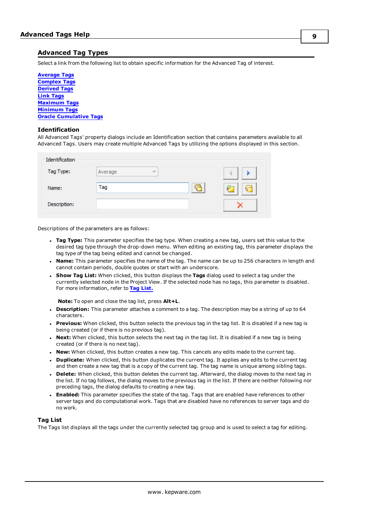### <span id="page-8-0"></span>**Advanced Tag Types**

Select a link from the following list to obtain specific information for the Advanced Tag of interest.

**[Average](#page-9-0) Tags [Complex](#page-10-0) Tags [Derived](#page-12-0) Tags Link [Tags](#page-14-0) [Maximum](#page-18-0) Tags [Minimum](#page-19-0) Tags Oracle [Cumulative](#page-20-0) Tags**

### **Identification**

All Advanced Tags' property dialogs include an Identification section that contains parameters available to all Advanced Tags. Users may create multiple Advanced Tags by utilizing the options displayed in this section.

| Identification |                                     |                     |
|----------------|-------------------------------------|---------------------|
| Tag Type:      | Average<br>$\overline{\phantom{a}}$ |                     |
| Name:          | Tag<br>⇐                            | æ<br><b>Service</b> |
| Description:   |                                     |                     |

Descriptions of the parameters are as follows:

- **Tag Type:** This parameter specifies the tag type. When creating a new tag, users set this value to the desired tag type through the drop-down menu. When editing an existing tag, this parameter displays the tag type of the tag being edited and cannot be changed.
- **Name:** This parameter specifies the name of the tag. The name can be up to 256 characters in length and cannot contain periods, double quotes or start with an underscore.
- <sup>l</sup> **Show Tag List:** When clicked, this button displays the **Tags** dialog used to select a tag under the currently selected node in the Project View. If the selected node has no tags, this parameter is disabled. For more information, refer to **Tag [List.](#page-8-1)**

**Note:** To open and close the tag list, press **Alt+L**.

- **Description:** This parameter attaches a comment to a tag. The description may be a string of up to 64 characters.
- **Previous:** When clicked, this button selects the previous tag in the tag list. It is disabled if a new tag is being created (or if there is no previous tag).
- **Next:** When clicked, this button selects the next tag in the tag list. It is disabled if a new tag is being created (or if there is no next tag).
- **New:** When clicked, this button creates a new tag. This cancels any edits made to the current tag.
- **Duplicate:** When clicked, this button duplicates the current tag. It applies any edits to the current tag and then create a new tag that is a copy of the current tag. The tag name is unique among sibling tags.
- **Delete:** When clicked, this button deletes the current tag. Afterward, the dialog moves to the next tag in the list. If no tag follows, the dialog moves to the previous tag in the list. If there are neither following nor preceding tags, the dialog defaults to creating a new tag.
- <span id="page-8-1"></span>**Enabled:** This parameter specifies the state of the tag. Tags that are enabled have references to other server tags and do computational work. Tags that are disabled have no references to server tags and do no work.

#### **Tag List**

The Tags list displays all the tags under the currently selected tag group and is used to select a tag for editing.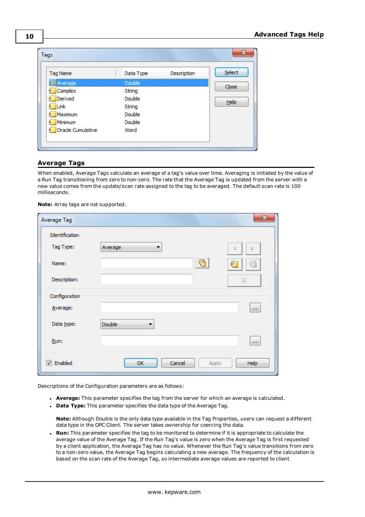| Tags              |           |             |        |
|-------------------|-----------|-------------|--------|
| <b>Tag Name</b>   | Data Type | Description | Select |
| <b>MA</b> Verage  | Double    |             |        |
| Complex           | String    |             | Close  |
| Derived           | Double    |             | Help   |
| Link              | String    |             |        |
| Maximum           | Double    |             |        |
| Minimum           | Double    |             |        |
| Oracle Cumulative | Word      |             |        |
|                   |           |             |        |
|                   |           |             |        |

### <span id="page-9-0"></span>**Average Tags**

When enabled, Average Tags calculate an average of a tag's value over time. Averaging is initiated by the value of a Run Tag transitioning from zero to non-zero. The rate that the Average Tag is updated from the server with a new value comes from the update/scan rate assigned to the tag to be averaged. The default scan rate is 100 milliseconds.

**Note:** Array tags are not supported.

| Average Tag                 |                       | $\mathbf{x}$ |
|-----------------------------|-----------------------|--------------|
| Identification<br>Tag Type: | Average<br>▼          | Þ            |
| Name:                       | ₹                     | P            |
| Description:                |                       |              |
| Configuration               |                       |              |
| Average:                    |                       | $\mathbf{r}$ |
| Data type:                  | Double<br>▼           |              |
| Run:                        |                       | $\cdots$     |
| <b>V</b> Enabled            | Cancel<br>OK<br>Apply | Help         |

Descriptions of the Configuration parameters are as follows:

- **Average:** This parameter specifies the tag from the server for which an average is calculated.
- **Data Type:** This parameter specifies the data type of the Average Tag.

**Note:** Although Double is the only data type available in the Tag Properties, users can request a different data type in the OPC Client. The server takes ownership for coercing the data.

<sup>l</sup> **Run:** This parameter specifies the tag to be monitored to determine if it is appropriate to calculate the average value of the Average Tag. If the Run Tag's value is zero when the Average Tag is first requested by a client application, the Average Tag has no value. Whenever the Run Tag's value transitions from zero to a non-zero value, the Average Tag begins calculating a new average. The frequency of the calculation is based on the scan rate of the Average Tag, so intermediate average values are reported to client

**10**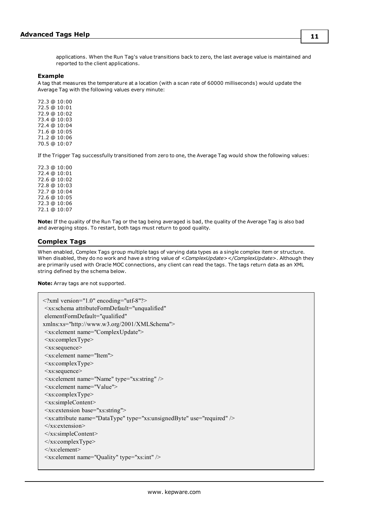**11**

applications. When the Run Tag's value transitions back to zero, the last average value is maintained and reported to the client applications.

#### **Example**

A tag that measures the temperature at a location (with a scan rate of 60000 milliseconds) would update the Average Tag with the following values every minute:

72.3 @ 10:00 72.5 @ 10:01 72.9 @ 10:02 73.4 @ 10:03 72.4 @ 10:04 71.6 @ 10:05 71.2 @ 10:06 70.5 @ 10:07

If the Trigger Tag successfully transitioned from zero to one, the Average Tag would show the following values:

72.3 @ 10:00 72.4 @ 10:01 72.6 @ 10:02 72.8 @ 10:03 72.7 @ 10:04 72.6 @ 10:05 72.3 @ 10:06 72.1 @ 10:07

**Note:** If the quality of the Run Tag or the tag being averaged is bad, the quality of the Average Tag is also bad and averaging stops. To restart, both tags must return to good quality.

### <span id="page-10-0"></span>**Complex Tags**

When enabled, Complex Tags group multiple tags of varying data types as a single complex item or structure. When disabled, they do no work and have a string value of *<ComplexUpdate></ComplexUpdate>*. Although they are primarily used with Oracle MOC connections, any client can read the tags. The tags return data as an XML string defined by the schema below.

**Note:** Array tags are not supported.

| $\leq$ ?xml version="1.0" encoding="utf-8"?>                                        |
|-------------------------------------------------------------------------------------|
| <xs:schema <="" attributeformdefault="unqualified" td=""></xs:schema>               |
| elementFormDefault="qualified"                                                      |
| xmlns:xs="http://www.w3.org/2001/XMLSchema">                                        |
| <xs:element name="ComplexUpdate"></xs:element>                                      |
| $\langle x s : complex Type \rangle$                                                |
| $\leq$ xs:sequence>                                                                 |
| $\leq$ xs: element name="Item">                                                     |
| $\langle x \rangle$ s: complex Type $>$                                             |
| $\leq$ xs:sequence>                                                                 |
| <xs: element="" name="Name" type="xs: string"></xs:>                                |
| $\leq$ xs: element name="Value">                                                    |
| $\langle x s : complex Type \rangle$                                                |
| $\leq$ xs:simpleContent>                                                            |
| <xs:extension base="xs:string"></xs:extension>                                      |
| <xs:attribute name="DataType" type="xs:unsignedByte" use="required"></xs:attribute> |
| $\langle x$ s: extension>                                                           |
| $\langle x \rangle$ s:simpleContent>                                                |
| $\langle x$ s: complexType $\rangle$                                                |
| $\langle x s :$ element                                                             |
| $\leq$ xs: element name="Quality" type="xs: int" $\geq$                             |
|                                                                                     |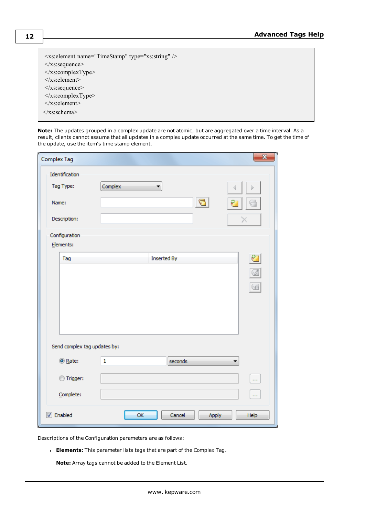| $\leq$ xs: element name="TimeStamp" type="xs: string" $\geq$ |
|--------------------------------------------------------------|
| $\langle x \rangle$ s: sequence                              |
| $\langle x \rangle$ s: complexType $\geq$                    |
| $\langle x s :$ element $\rangle$                            |
| $\langle x \rangle$ s: sequence                              |
| $\langle x$ s: complexType $\rangle$                         |
| $\langle x s :$ element $\rangle$                            |
| $\langle x \rangle$ s:schema>                                |

**Note:** The updates grouped in a complex update are not atomic, but are aggregated over a time interval. As a result, clients cannot assume that all updates in a complex update occurred at the same time. To get the time of the update, use the item's time stamp element.

| Complex Tag                  |                         | $\mathbf{x}$            |
|------------------------------|-------------------------|-------------------------|
| Identification<br>Tag Type:  | Complex                 |                         |
| Name:                        | c                       |                         |
| Description:                 |                         |                         |
| Configuration<br>Elements:   |                         |                         |
| Tag                          | <b>Inserted By</b>      | Ø                       |
|                              |                         | $\overline{\mathbb{C}}$ |
| Send complex tag updates by: |                         |                         |
| ◎ Rate:                      | $\mathbf{1}$<br>seconds |                         |
| Trigger:<br>⋒                |                         | in i                    |
| Complete:                    |                         | <b>COL</b>              |
| $\triangledown$ Enabled      | OK<br>Cancel<br>Apply   | Help                    |

Descriptions of the Configuration parameters are as follows:

**Elements:** This parameter lists tags that are part of the Complex Tag.

**Note:** Array tags cannot be added to the Element List.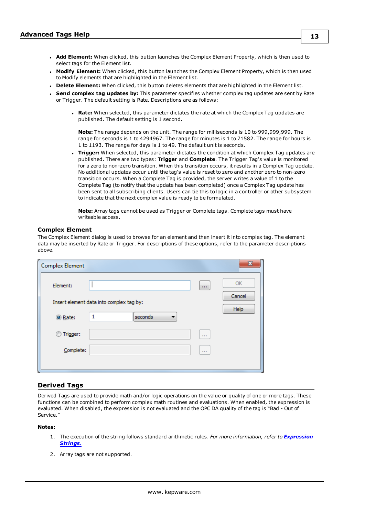- **· Modify Element:** When clicked, this button launches the Complex Element Property, which is then used to Modify elements that are highlighted in the Element list.
- **Delete Element:** When clicked, this button deletes elements that are highlighted in the Element list.
- <sup>l</sup> **Send complex tag updates by:** This parameter specifies whether complex tag updates are sent by Rate or Trigger. The default setting is Rate. Descriptions are as follows:
	- **Rate:** When selected, this parameter dictates the rate at which the Complex Tag updates are published. The default setting is 1 second.

**Note:** The range depends on the unit. The range for milliseconds is 10 to 999,999,999. The range for seconds is 1 to 4294967. The range for minutes is 1 to 71582. The range for hours is 1 to 1193. The range for days is 1 to 49. The default unit is seconds.

**Trigger:** When selected, this parameter dictates the condition at which Complex Tag updates are published. There are two types: **Trigger** and **Complete**. The Trigger Tag's value is monitored for a zero to non-zero transition. When this transition occurs, it results in a Complex Tag update. No additional updates occur until the tag's value is reset to zero and another zero to non-zero transition occurs. When a Complete Tag is provided, the server writes a value of 1 to the Complete Tag (to notify that the update has been completed) once a Complex Tag update has been sent to all subscribing clients. Users can tie this to logic in a controller or other subsystem to indicate that the next complex value is ready to be formulated.

**Note:** Array tags cannot be used as Trigger or Complete tags. Complete tags must have writeable access.

#### **Complex Element**

The Complex Element dialog is used to browse for an element and then insert it into complex tag. The element data may be inserted by Rate or Trigger. For descriptions of these options, refer to the parameter descriptions above.

| <b>Complex Element</b> |                                          |        | ×            |
|------------------------|------------------------------------------|--------|--------------|
| Element:               |                                          | $\sim$ | OK<br>Cancel |
|                        | Insert element data into complex tag by: |        | Help         |
| ◎ Rate:                | seconds<br>1                             |        |              |
| Trigger:               |                                          | 1.1.1  |              |
| Complete:              |                                          | 1.1.1  |              |
|                        |                                          |        |              |

#### <span id="page-12-0"></span>**Derived Tags**

Derived Tags are used to provide math and/or logic operations on the value or quality of one or more tags. These functions can be combined to perform complex math routines and evaluations. When enabled, the expression is evaluated. When disabled, the expression is not evaluated and the OPC DA quality of the tag is "Bad - Out of Service."

#### **Notes:**

- 1. The execution of the string follows standard arithmetic rules. *For more information, refer to [Expression](#page-14-1) [Strings.](#page-14-1)*
- 2. Array tags are not supported.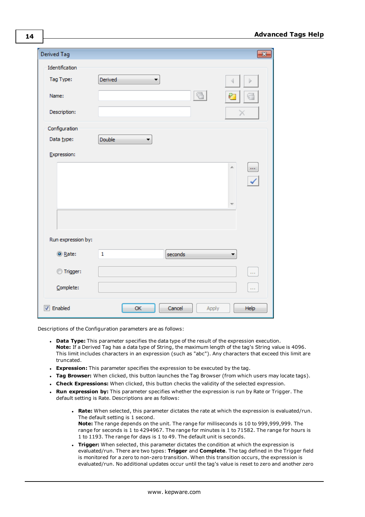| Derived Tag        |                        | ×             |
|--------------------|------------------------|---------------|
| Identification     |                        |               |
| Tag Type:          | Derived<br>▼           | D             |
| Name:              | $\boxed{ }$            | P             |
| Description:       |                        | х             |
| Configuration      |                        |               |
| Data type:         | Double<br>▼            |               |
| Expression:        |                        |               |
|                    |                        | $\cdots$<br>∸ |
| Run expression by: |                        |               |
| ◎ Rate:            | $\mathbf 1$<br>seconds |               |
| Trigger:           |                        | in i          |
| Complete:          |                        | <b>COL</b>    |
| <b>V</b> Enabled   | Cancel<br>OK<br>Apply  | Help          |

Descriptions of the Configuration parameters are as follows:

- **Data Type:** This parameter specifies the data type of the result of the expression execution. **Note:** If a Derived Tag has a data type of String, the maximum length of the tag's String value is 4096. This limit includes characters in an expression (such as "abc"). Any characters that exceed this limit are truncated.
- **Expression:** This parameter specifies the expression to be executed by the tag.
- **Tag Browser:** When clicked, this button launches the Tag Browser (from which users may locate tags).
- <sup>l</sup> **Check Expressions:** When clicked, this button checks the validity of the selected expression.
- <sup>l</sup> **Run expression by:** This parameter specifies whether the expression is run by Rate or Trigger. The default setting is Rate. Descriptions are as follows:
	- <sup>l</sup> **Rate:** When selected, this parameter dictates the rate at which the expression is evaluated/run. The default setting is 1 second. **Note:** The range depends on the unit. The range for milliseconds is 10 to 999,999,999. The range for seconds is 1 to 4294967. The range for minutes is 1 to 71582. The range for hours is 1 to 1193. The range for days is 1 to 49. The default unit is seconds.
	- **Trigger:** When selected, this parameter dictates the condition at which the expression is evaluated/run. There are two types: **Trigger** and **Complete**. The tag defined in the Trigger field is monitored for a zero to non-zero transition. When this transition occurs, the expression is evaluated/run. No additional updates occur until the tag's value is reset to zero and another zero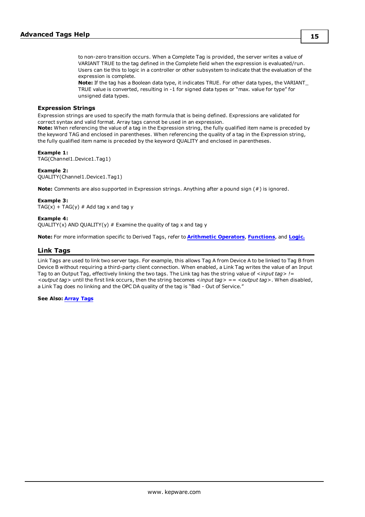to non-zero transition occurs. When a Complete Tag is provided, the server writes a value of VARIANT TRUE to the tag defined in the Complete field when the expression is evaluated/run. Users can tie this to logic in a controller or other subsystem to indicate that the evaluation of the expression is complete.

**Note:** If the tag has a Boolean data type, it indicates TRUE. For other data types, the VARIANT\_ TRUE value is converted, resulting in -1 for signed data types or "max. value for type" for unsigned data types.

#### <span id="page-14-1"></span>**Expression Strings**

Expression strings are used to specify the math formula that is being defined. Expressions are validated for correct syntax and valid format. Array tags cannot be used in an expression.

**Note:** When referencing the value of a tag in the Expression string, the fully qualified item name is preceded by the keyword TAG and enclosed in parentheses. When referencing the quality of a tag in the Expression string, the fully qualified item name is preceded by the keyword QUALITY and enclosed in parentheses.

#### **Example 1:**

TAG(Channel1.Device1.Tag1)

### **Example 2:**

QUALITY(Channel1.Device1.Tag1)

**Note:** Comments are also supported in Expression strings. Anything after a pound sign (#) is ignored.

#### **Example 3:**

 $TAG(x) + TAG(y) # Add tag x and tag y$ 

#### **Example 4:**

QUALITY(x) AND QUALITY(y)  $#$  Examine the quality of tag x and tag y

<span id="page-14-0"></span>**Note:** For more information specific to Derived Tags, refer to **[Arithmetic](#page-21-0) Operators**, **[Functions](#page-22-0)**, and **[Logic.](#page-23-0)**

### **Link Tags**

Link Tags are used to link two server tags. For example, this allows Tag A from Device A to be linked to Tag B from Device B without requiring a third-party client connection. When enabled, a Link Tag writes the value of an Input Tag to an Output Tag, effectively linking the two tags. The Link tag has the string value of *<input tag> != <output tag>* until the first link occurs, then the string becomes *<input tag> == <output tag>*. When disabled, a Link Tag does no linking and the OPC DA quality of the tag is "Bad - Out of Service."

#### **See Also: Array Tags**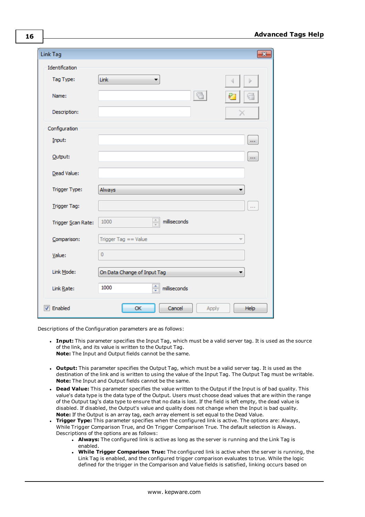| Link Tag           | $\overline{\mathbf{x}}$                          |
|--------------------|--------------------------------------------------|
| Identification     |                                                  |
| Tag Type:          | Link<br>$\mathbf{r}$                             |
| Name:              | l G                                              |
| Description:       | x                                                |
| Configuration      |                                                  |
| Input:             | $\mathbf{r}$                                     |
| Output:            | $\mathbf{r}$                                     |
| Dead Value:        |                                                  |
| Trigger Type:      | Always                                           |
| Trigger Tag:       | $\cdots$                                         |
| Trigger Scan Rate: | $\frac{\triangle}{\tau}$<br>milliseconds<br>1000 |
| Comparison:        | Trigger Tag $==$ Value                           |
| Value:             | $\overline{0}$                                   |
| Link Mode:         | On Data Change of Input Tag                      |
| Link Rate:         | $\frac{1}{\tau}$<br>1000<br>milliseconds         |
| <b>V</b> Enabled   | OK<br>Cancel<br>Help<br>Apply                    |

Descriptions of the Configuration parameters are as follows:

- <sup>l</sup> **Input:** This parameter specifies the Input Tag, which must be a valid server tag. It is used as the source of the link, and its value is written to the Output Tag. **Note:** The Input and Output fields cannot be the same.
- <sup>l</sup> **Output:** This parameter specifies the Output Tag, which must be a valid server tag. It is used as the destination of the link and is written to using the value of the Input Tag. The Output Tag must be writable. **Note:** The Input and Output fields cannot be the same.
- **Dead Value:** This parameter specifies the value written to the Output if the Input is of bad quality. This value's data type is the data type of the Output. Users must choose dead values that are within the range of the Output tag's data type to ensure that no data is lost. If the field is left empty, the dead value is disabled. If disabled, the Output's value and quality does not change when the Input is bad quality. **Note:** If the Output is an array tag, each array element is set equal to the Dead Value.
- <sup>l</sup> **Trigger Type:** This parameter specifies when the configured link is active. The options are: Always, While Trigger Comparison True, and On Trigger Comparison True. The default selection is Always. Descriptions of the options are as follows:
	- **Always:** The configured link is active as long as the server is running and the Link Tag is enabled.
	- <sup>l</sup> **While Trigger Comparison True:** The configured link is active when the server is running, the Link Tag is enabled, and the configured trigger comparison evaluates to true. While the logic defined for the trigger in the Comparison and Value fields is satisfied, linking occurs based on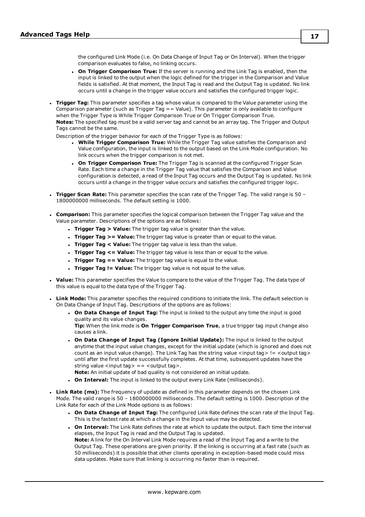the configured Link Mode (i.e. On Data Change of Input Tag or On Interval). When the trigger comparison evaluates to false, no linking occurs.

- <sup>l</sup> **On Trigger Comparison True:** If the server is running and the Link Tag is enabled, then the input is linked to the output when the logic defined for the trigger in the Comparison and Value fields is satisfied. At that moment, the Input Tag is read and the Output Tag is updated. No link occurs until a change in the trigger value occurs and satisfies the configured trigger logic.
- <sup>l</sup> **Trigger Tag:** This parameter specifies a tag whose value is compared to the Value parameter using the Comparison parameter (such as Trigger Tag == Value). This parameter is only available to configure when the Trigger Type is While Trigger Comparison True or On Trigger Comparison True. **Notes:** The specified tag must be a valid server tag and cannot be an array tag. The Trigger and Output Tags cannot be the same.

Description of the trigger behavior for each of the Trigger Type is as follows:

- <sup>l</sup> **While Trigger Comparison True:** While the Trigger Tag value satisfies the Comparison and Value configuration, the input is linked to the output based on the Link Mode configuration. No link occurs when the trigger comparison is not met.
- <sup>l</sup> **On Trigger Comparison True:** The Trigger Tag is scanned at the configured Trigger Scan Rate. Each time a change in the Trigger Tag value that satisfies the Comparison and Value configuration is detected, a read of the Input Tag occurs and the Output Tag is updated. No link occurs until a change in the trigger value occurs and satisfies the configured trigger logic.
- <sup>l</sup> **Trigger Scan Rate:** This parameter specifies the scan rate of the Trigger Tag. The valid range is 50 1800000000 milliseconds. The default setting is 1000.
- <sup>l</sup> **Comparison:** This parameter specifies the logical comparison between the Trigger Tag value and the Value parameter. Descriptions of the options are as follows:
	- **Trigger Tag > Value:** The trigger tag value is greater than the value.
	- **Trigger Tag >= Value:** The trigger tag value is greater than or equal to the value.
	- **Trigger Tag < Value:** The trigger tag value is less than the value.
	- <sup>l</sup> **Trigger Tag <= Value:** The trigger tag value is less than or equal to the value.
	- **Trigger Tag == Value:** The trigger tag value is equal to the value.
	- <sup>l</sup> **Trigger Tag != Value:** The trigger tag value is not equal to the value.
- **· Value:** This parameter specifies the Value to compare to the value of the Trigger Tag. The data type of this value is equal to the data type of the Trigger Tag.
- **Link Mode:** This parameter specifies the required conditions to initiate the link. The default selection is On Data Change of Input Tag. Descriptions of the options are as follows:
	- <sup>l</sup> **On Data Change of Input Tag:** The input is linked to the output any time the input is good quality and its value changes.

**Tip:** When the link mode is **On Trigger Comparison True**, a true trigger tag input change also causes a link.

- <sup>l</sup> **On Data Change of Input Tag (Ignore Initial Update):** The input is linked to the output anytime that the input value changes, except for the initial update (which is ignored and does not count as an input value change). The Link Tag has the string value  $\langle$  input tag> !=  $\langle$  output tag> until after the first update successfully completes. At that time, subsequent updates have the string value  $\langle$ input tag $\rangle$  ==  $\langle$ output tag $\rangle$ .
	- **Note:** An initial update of bad quality is not considered an initial update.
- <sup>l</sup> **On Interval:** The input is linked to the output every Link Rate (milliseconds).
- **Link Rate (ms):** The frequency of update as defined in this parameter depends on the chosen Link Mode. The valid range is 50 – 1800000000 milliseconds. The default setting is 1000. Description of the Link Rate for each of the Link Mode options is as follows:
	- <sup>l</sup> **On Data Change of Input Tag:** The configured Link Rate defines the scan rate of the Input Tag. This is the fastest rate at which a change in the Input value may be detected.
	- <sup>l</sup> **On Interval:** The Link Rate defines the rate at which to update the output. Each time the interval elapses, the Input Tag is read and the Output Tag is updated. **Note:** A link for the On Interval Link Mode requires a read of the Input Tag and a write to the Output Tag. These operations are given priority. If the linking is occurring at a fast rate (such as 50 milliseconds) it is possible that other clients operating in exception-based mode could miss data updates. Make sure that linking is occurring no faster than is required.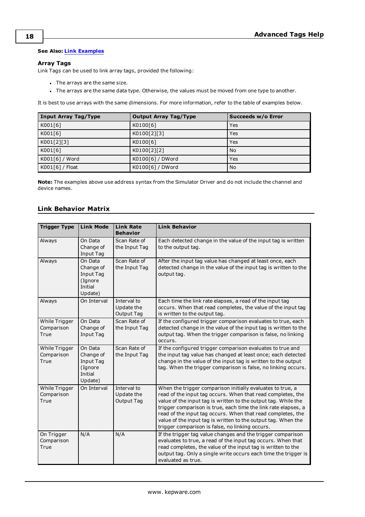#### **See Also: Link [Examples](#page-17-0)**

### **Array Tags**

Link Tags can be used to link array tags, provided the following:

- The arrays are the same size.
- The arrays are the same data type. Otherwise, the values must be moved from one type to another.

It is best to use arrays with the same dimensions. For more information, refer to the table of examples below.

| Input Array Tag/Type | <b>Output Array Tag/Type</b> | Succeeds w/o Error |
|----------------------|------------------------------|--------------------|
| K001[6]              | K0100[6]                     | Yes                |
| K001[6]              | K0100[2][3]                  | Yes                |
| K001[2][3]           | K0100[6]                     | Yes                |
| K001[6]              | K0100[2][2]                  | No                 |
| K001[6] / Word       | K0100[6] / DWord             | Yes                |
| K001[6] / Float      | K0100[6] / DWord             | No                 |

<span id="page-17-0"></span>**Note:** The examples above use address syntax from the Simulator Driver and do not include the channel and device names.

### **Link Behavior Matrix**

| <b>Trigger Type</b>                 | <b>Link Mode</b>                                                   | <b>Link Rate</b><br><b>Behavior</b>     | <b>Link Behavior</b>                                                                                                                                                                                                                                                                                                                                                                                                                             |  |
|-------------------------------------|--------------------------------------------------------------------|-----------------------------------------|--------------------------------------------------------------------------------------------------------------------------------------------------------------------------------------------------------------------------------------------------------------------------------------------------------------------------------------------------------------------------------------------------------------------------------------------------|--|
| Always                              | On Data<br>Change of<br>Input Tag                                  | Scan Rate of<br>the Input Tag           | Each detected change in the value of the input tag is written<br>to the output tag.                                                                                                                                                                                                                                                                                                                                                              |  |
| Always                              | On Data<br>Change of<br>Input Tag<br>(Ignore<br>Initial<br>Update) | Scan Rate of<br>the Input Tag           | After the input tag value has changed at least once, each<br>detected change in the value of the input tag is written to the<br>output tag.                                                                                                                                                                                                                                                                                                      |  |
| Always                              | On Interval                                                        | Interval to<br>Update the<br>Output Tag | Each time the link rate elapses, a read of the input tag<br>occurs. When that read completes, the value of the input tag<br>is written to the output tag.                                                                                                                                                                                                                                                                                        |  |
| While Trigger<br>Comparison<br>True | On Data<br>Change of<br>Input Tag                                  | Scan Rate of<br>the Input Tag           | If the configured trigger comparison evaluates to true, each<br>detected change in the value of the input tag is written to the<br>output tag. When the trigger comparison is false, no linking<br>occurs.                                                                                                                                                                                                                                       |  |
| While Trigger<br>Comparison<br>True | On Data<br>Change of<br>Input Tag<br>(Ignore<br>Initial<br>Update) | Scan Rate of<br>the Input Tag           | If the configured trigger comparison evaluates to true and<br>the input tag value has changed at least once; each detected<br>change in the value of the input tag is written to the output<br>tag. When the trigger comparison is false, no linking occurs.                                                                                                                                                                                     |  |
| While Trigger<br>Comparison<br>True | On Interval                                                        | Interval to<br>Update the<br>Output Tag | When the trigger comparison initially evaluates to true, a<br>read of the input tag occurs. When that read completes, the<br>value of the input tag is written to the output tag. While the<br>trigger comparison is true, each time the link rate elapses, a<br>read of the input tag occurs. When that read completes, the<br>value of the input tag is written to the output tag. When the<br>trigger comparison is false, no linking occurs. |  |
| On Trigger<br>Comparison<br>True    | N/A                                                                | N/A                                     | If the trigger tag value changes and the trigger comparison<br>evaluates to true, a read of the input tag occurs. When that<br>read completes, the value of the input tag is written to the<br>output tag. Only a single write occurs each time the trigger is<br>evaluated as true.                                                                                                                                                             |  |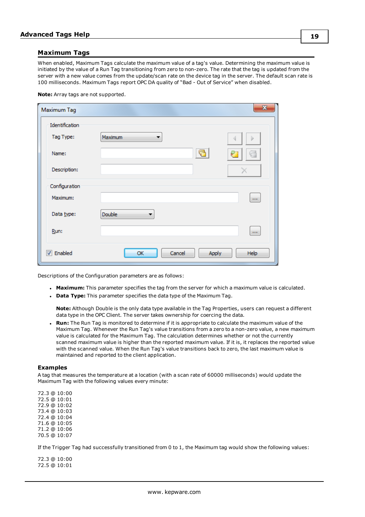#### <span id="page-18-0"></span>**Maximum Tags**

When enabled, Maximum Tags calculate the maximum value of a tag's value. Determining the maximum value is initiated by the value of a Run Tag transitioning from zero to non-zero. The rate that the tag is updated from the server with a new value comes from the update/scan rate on the device tag in the server. The default scan rate is 100 milliseconds. Maximum Tags report OPC DA quality of "Bad - Out of Service" when disabled.

#### **Note:** Array tags are not supported.

| Maximum Tag             |                       | $\mathbf{x}$ |
|-------------------------|-----------------------|--------------|
| Identification          |                       |              |
| Tag Type:               | Maximum               |              |
| Name:                   | $\sqrt{2}$            | ô,<br>Ya 11  |
| Description:            |                       |              |
| Configuration           |                       |              |
| Maximum:                |                       | $\cdots$     |
| Data type:              | Double                |              |
| Run:                    |                       | $\mathbf{r}$ |
| $\triangledown$ Enabled | Cancel<br>OK<br>Apply | Help         |

Descriptions of the Configuration parameters are as follows:

- **Maximum:** This parameter specifies the tag from the server for which a maximum value is calculated.
- **.** Data Type: This parameter specifies the data type of the Maximum Tag.

**Note:** Although Double is the only data type available in the Tag Properties, users can request a different data type in the OPC Client. The server takes ownership for coercing the data.

<sup>l</sup> **Run:** The Run Tag is monitored to determine if it is appropriate to calculate the maximum value of the Maximum Tag. Whenever the Run Tag's value transitions from a zero to a non-zero value, a new maximum value is calculated for the Maximum Tag. The calculation determines whether or not the currently scanned maximum value is higher than the reported maximum value. If it is, it replaces the reported value with the scanned value. When the Run Tag's value transitions back to zero, the last maximum value is maintained and reported to the client application.

#### **Examples**

A tag that measures the temperature at a location (with a scan rate of 60000 milliseconds) would update the Maximum Tag with the following values every minute:

72.3 @ 10:00 72.5 @ 10:01 72.9 @ 10:02 73.4 @ 10:03 72.4 @ 10:04 71.6 @ 10:05 71.2 @ 10:06 70.5 @ 10:07

If the Trigger Tag had successfully transitioned from 0 to 1, the Maximum tag would show the following values:

72.3 @ 10:00 72.5 @ 10:01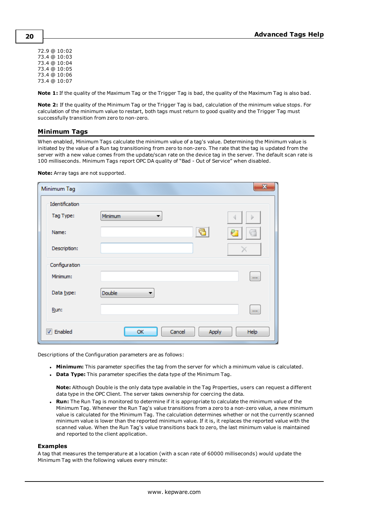72.9 @ 10:02 73.4 @ 10:03 73.4 @ 10:04 73.4 @ 10:05 73.4 @ 10:06 73.4 @ 10:07

**Note 1:** If the quality of the Maximum Tag or the Trigger Tag is bad, the quality of the Maximum Tag is also bad.

**Note 2:** If the quality of the Minimum Tag or the Trigger Tag is bad, calculation of the minimum value stops. For calculation of the minimum value to restart, both tags must return to good quality and the Trigger Tag must successfully transition from zero to non-zero.

### <span id="page-19-0"></span>**Minimum Tags**

When enabled, Minimum Tags calculate the minimum value of a tag's value. Determining the Minimum value is initiated by the value of a Run tag transitioning from zero to non-zero. The rate that the tag is updated from the server with a new value comes from the update/scan rate on the device tag in the server. The default scan rate is 100 milliseconds. Minimum Tags report OPC DA quality of "Bad - Out of Service" when disabled.

| Minimum Tag      |               | $\mathbf{x}$  |
|------------------|---------------|---------------|
| Identification   |               |               |
| Tag Type:        | Minimum<br>▼  |               |
| Name:            | ₹             | P             |
| Description:     |               |               |
| Configuration    |               |               |
| Minimum:         |               | $\mathbf{r}$  |
| Data type:       | <b>Double</b> |               |
| Run:             |               | $\cdots$      |
| <b>V</b> Enabled | Cancel<br>OK  | Apply<br>Help |

**Note:** Array tags are not supported.

Descriptions of the Configuration parameters are as follows:

- **Minimum:** This parameter specifies the tag from the server for which a minimum value is calculated.
- **.** Data Type: This parameter specifies the data type of the Minimum Tag.

**Note:** Although Double is the only data type available in the Tag Properties, users can request a different data type in the OPC Client. The server takes ownership for coercing the data.

**Run:** The Run Tag is monitored to determine if it is appropriate to calculate the minimum value of the Minimum Tag. Whenever the Run Tag's value transitions from a zero to a non-zero value, a new minimum value is calculated for the Minimum Tag. The calculation determines whether or not the currently scanned minimum value is lower than the reported minimum value. If it is, it replaces the reported value with the scanned value. When the Run Tag's value transitions back to zero, the last minimum value is maintained and reported to the client application.

#### **Examples**

A tag that measures the temperature at a location (with a scan rate of 60000 milliseconds) would update the Minimum Tag with the following values every minute: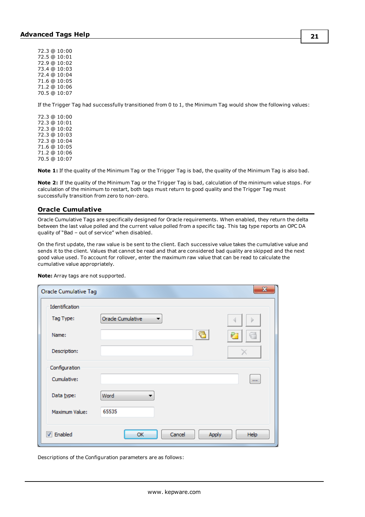72.3 @ 10:00 72.5 @ 10:01 72.9 @ 10:02 73.4 @ 10:03 72.4 @ 10:04 71.6 @ 10:05 71.2 @ 10:06 70.5 @ 10:07

If the Trigger Tag had successfully transitioned from 0 to 1, the Minimum Tag would show the following values:

72.3 @ 10:00 72.3 @ 10:01 72.3 @ 10:02 72.3 @ 10:03 72.3 @ 10:04 71.6 @ 10:05 71.2 @ 10:06 70.5 @ 10:07

**Note 1:** If the quality of the Minimum Tag or the Trigger Tag is bad, the quality of the Minimum Tag is also bad.

**Note 2:** If the quality of the Minimum Tag or the Trigger Tag is bad, calculation of the minimum value stops. For calculation of the minimum to restart, both tags must return to good quality and the Trigger Tag must successfully transition from zero to non-zero.

#### <span id="page-20-0"></span>**Oracle Cumulative**

Oracle Cumulative Tags are specifically designed for Oracle requirements. When enabled, they return the delta between the last value polled and the current value polled from a specific tag. This tag type reports an OPC DA quality of "Bad – out of service" when disabled.

On the first update, the raw value is be sent to the client. Each successive value takes the cumulative value and sends it to the client. Values that cannot be read and that are considered bad quality are skipped and the next good value used. To account for rollover, enter the maximum raw value that can be read to calculate the cumulative value appropriately.

| <b>Oracle Cumulative Tag</b> |                       | x                             |
|------------------------------|-----------------------|-------------------------------|
| Identification               |                       |                               |
| Tag Type:                    | Oracle Cumulative     |                               |
| Name:                        |                       |                               |
| Description:                 |                       |                               |
| Configuration                |                       |                               |
| Cumulative:                  |                       | $\mathbf{r}$ and $\mathbf{r}$ |
| Data type:                   | Word                  |                               |
| Maximum Value:               | 65535                 |                               |
| <b>V</b> Enabled             | Cancel<br>Apply<br>OK | Help                          |

**Note:** Array tags are not supported.

Descriptions of the Configuration parameters are as follows: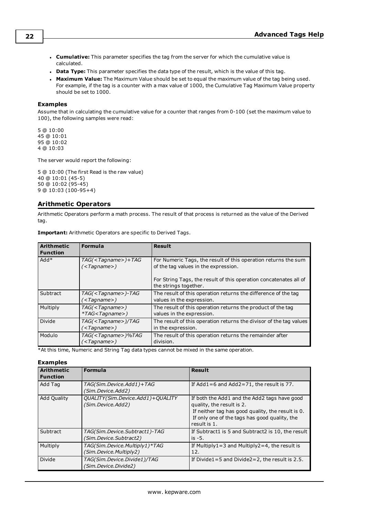- <sup>l</sup> **Cumulative:** This parameter specifies the tag from the server for which the cumulative value is calculated.
- **Data Type:** This parameter specifies the data type of the result, which is the value of this tag.
- **Maximum Value:** The Maximum Value should be set to equal the maximum value of the tag being used. For example, if the tag is a counter with a max value of 1000, the Cumulative Tag Maximum Value property should be set to 1000.

#### **Examples**

Assume that in calculating the cumulative value for a counter that ranges from 0-100 (set the maximum value to 100), the following samples were read:

5 @ 10:00 45 @ 10:01 95 @ 10:02 4 @ 10:03

The server would report the following:

 @ 10:00 (The first Read is the raw value) @ 10:01 (45-5) @ 10:02 (95-45) @ 10:03 (100-95+4)

### <span id="page-21-0"></span>**Arithmetic Operators**

Arithmetic Operators perform a math process. The result of that process is returned as the value of the Derived tag.

**Important:** Arithmetic Operators are specific to Derived Tags.

| <b>Arithmetic</b><br><b>Function</b> | Formula                                                 | <b>Result</b>                                                                                          |  |
|--------------------------------------|---------------------------------------------------------|--------------------------------------------------------------------------------------------------------|--|
| $Add*$                               | $TAG(<$ Tagname>)+TAG<br>( <tagname>)</tagname>         | For Numeric Tags, the result of this operation returns the sum<br>of the tag values in the expression. |  |
|                                      |                                                         | For String Tags, the result of this operation concatenates all of<br>the strings together.             |  |
| Subtract                             | TAG( <tagname>)-TAG<br/>(<tagname>)</tagname></tagname> | The result of this operation returns the difference of the tag<br>values in the expression.            |  |
| Multiply                             | TAG( <i>Ta</i> gname)<br>$*TAG < Tagname$ )             | The result of this operation returns the product of the tag<br>values in the expression.               |  |
| Divide                               | $TAG(<$ Tagname> $)/TAG$<br>( <tagname>)</tagname>      | The result of this operation returns the divisor of the tag values<br>in the expression.               |  |
| Modulo                               | TAG( <tagname>)%TAG<br/>(<tagname>)</tagname></tagname> | The result of this operation returns the remainder after<br>division.                                  |  |

\*At this time, Numeric and String Tag data types cannot be mixed in the same operation.

#### **Examples**

| <b>Arithmetic</b><br><b>Function</b> | Formula                                                 | <b>Result</b>                                                                                                                                                                                   |
|--------------------------------------|---------------------------------------------------------|-------------------------------------------------------------------------------------------------------------------------------------------------------------------------------------------------|
| Add Tag                              | TAG(Sim.Device.Add1)+TAG<br>(Sim.Device.Add2)           | If $Add1=6$ and $Add2=71$ , the result is 77.                                                                                                                                                   |
| <b>Add Quality</b>                   | QUALITY(Sim.Device.Add1)+QUALITY<br>(Sim.Device.Add2)   | If both the Add1 and the Add2 tags have good<br>quality, the result is 2.<br>If neither tag has good quality, the result is 0.<br>If only one of the tags has good quality, the<br>result is 1. |
| Subtract                             | TAG(Sim.Device.Subtract1)-TAG<br>(Sim.Device.Subtract2) | If Subtract1 is 5 and Subtract2 is 10, the result<br>is $-5$ .                                                                                                                                  |
| Multiply                             | TAG(Sim.Device.Multiply1)*TAG<br>(Sim.Device.Multiply2) | If Multiply $1 = 3$ and Multiply $2 = 4$ , the result is<br>12.                                                                                                                                 |
| Divide                               | TAG(Sim.Device.Divide1)/TAG<br>(Sim. Device. Divide2)   | If Divide1=5 and Divide2=2, the result is $2.5$ .                                                                                                                                               |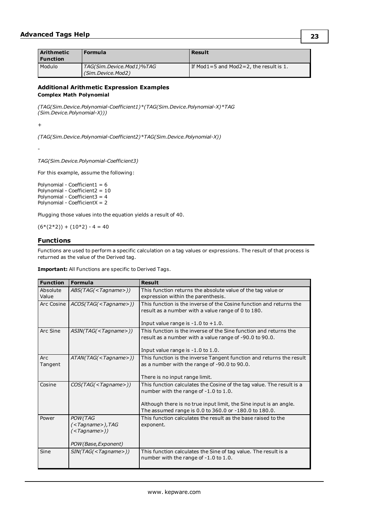| <b>Arithmetic</b><br><b>Function</b> | Formula                                       | Result                                        |
|--------------------------------------|-----------------------------------------------|-----------------------------------------------|
| l Modulo                             | TAG(Sim.Device.Mod1)%TAG<br>(Sim.Device.Mod2) | If Mod $1=5$ and Mod $2=2$ , the result is 1. |

### **Additional Arithmetic Expression Examples Complex Math Polynomial**

*(TAG(Sim.Device.Polynomial-Coefficient1)\*(TAG(Sim.Device.Polynomial-X)\*TAG (Sim.Device.Polynomial-X)))*

+

*(TAG(Sim.Device.Polynomial-Coefficient2)\*TAG(Sim.Device.Polynomial-X))*

-

*TAG(Sim.Device.Polynomial-Coefficient3)*

For this example, assume the following:

Polynomial - Coefficient1 = 6 Polynomial - Coefficient2 = 10 Polynomial - Coefficient3 =  $4$ Polynomial - CoefficientX = 2

Plugging those values into the equation yields a result of 40.

<span id="page-22-0"></span> $(6*(2*2)) + (10*2) - 4 = 40$ 

### **Functions**

Functions are used to perform a specific calculation on a tag values or expressions. The result of that process is returned as the value of the Derived tag.

**Important:** All Functions are specific to Derived Tags.

| <b>Function</b>   | <b>Formula</b>                                                   | <b>Result</b>                                                                                                                |
|-------------------|------------------------------------------------------------------|------------------------------------------------------------------------------------------------------------------------------|
| Absolute<br>Value | ABS(TAG( <tagname>))</tagname>                                   | This function returns the absolute value of the tag value or<br>expression within the parenthesis.                           |
| Arc Cosine        | ACOS(TAG( <tagname>))</tagname>                                  | This function is the inverse of the Cosine function and returns the<br>result as a number with a value range of 0 to 180.    |
|                   |                                                                  | Input value range is $-1.0$ to $+1.0$ .                                                                                      |
| Arc Sine          | ASIN(TAG( <tagname>))</tagname>                                  | This function is the inverse of the Sine function and returns the<br>result as a number with a value range of -90.0 to 90.0. |
|                   |                                                                  | Input value range is -1.0 to 1.0.                                                                                            |
| Arc<br>Tangent    | ATAN(TAG( <i>Ta</i> gname))                                      | This function is the inverse Tangent function and returns the result<br>as a number with the range of -90.0 to 90.0.         |
|                   |                                                                  | There is no input range limit.                                                                                               |
| Cosine            | COS(TAG( <i>Ta</i> gname))                                       | This function calculates the Cosine of the tag value. The result is a<br>number with the range of -1.0 to 1.0.               |
|                   |                                                                  | Although there is no true input limit, the Sine input is an angle.<br>The assumed range is 0.0 to 360.0 or -180.0 to 180.0.  |
| Power             | POW(TAG<br>( <tagname>),TAG<br/>(<tagname>))</tagname></tagname> | This function calculates the result as the base raised to the<br>exponent.                                                   |
|                   | POW(Base, Exponent)                                              |                                                                                                                              |
| Sine              | SIM(TAG( <i>Ta</i> gname))                                       | This function calculates the Sine of tag value. The result is a<br>number with the range of -1.0 to 1.0.                     |

**23**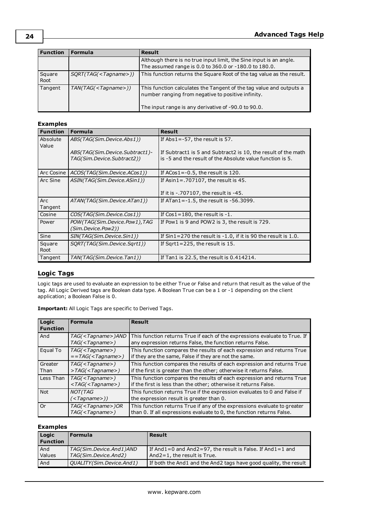|                             | Although there is no true input limit, the Sine input is an angle.<br>The assumed range is 0.0 to 360.0 or -180.0 to 180.0.                                                      |
|-----------------------------|----------------------------------------------------------------------------------------------------------------------------------------------------------------------------------|
| SORT(TAG( <i>Ta</i> gname)) | This function returns the Square Root of the tag value as the result.                                                                                                            |
| $TAN(TAG(Tagname)))$        | This function calculates the Tangent of the tag value and outputs a<br>number ranging from negative to positive infinity.<br>The input range is any derivative of -90.0 to 90.0. |
|                             |                                                                                                                                                                                  |

### **Examples**

| <b>Function</b>   | <b>Formula</b>                                               | <b>Result</b>                                                                                                              |
|-------------------|--------------------------------------------------------------|----------------------------------------------------------------------------------------------------------------------------|
| Absolute<br>Value | ABS(TAG(Sim.Device.Abs1))                                    | If $Abs1 = -57$ , the result is 57.                                                                                        |
|                   | ABS(TAG(Sim.Device.Subtract1)-<br>TAG(Sim.Device.Subtract2)) | If Subtract1 is 5 and Subtract2 is 10, the result of the math<br>is -5 and the result of the Absolute value function is 5. |
| Arc Cosine        | ACOS(TAG(Sim.Device.ACos1))                                  | If $ACos1 = -0.5$ , the result is 120.                                                                                     |
| Arc Sine          | ASIN(TAG(Sim.Device.ASin1))                                  | If Asin1=.707107, the result is $45.$                                                                                      |
|                   |                                                              | If it is -. 707107, the result is -45.                                                                                     |
| Arc<br>Tangent    | ATAN(TAG(Sim.Device.ATan1))                                  | If ATan1= $-1.5$ , the result is $-56.3099$ .                                                                              |
| Cosine            | COS(TAG(Sim.Device.Cos1))                                    | If $Cos1 = 180$ , the result is -1.                                                                                        |
| Power             | POW (TAG(Sim.Device.Pow1), TAG<br>(Sim.Device.Pow2))         | If Pow1 is 9 and POW2 is 3, the result is 729.                                                                             |
| Sine              | SIN(TAG(Sim.Device.Sin1))                                    | If $Sin1 = 270$ the result is $-1.0$ , if it is 90 the result is 1.0.                                                      |
| Square<br>Root    | SORT(TAG(Sim.Device.Sqrt1))                                  | If Sqrt1=225, the result is $15$ .                                                                                         |
| Tangent           | TAN(TAG(Sim.Device.Tan1))                                    | If Tan1 is 22.5, the result is 0.414214.                                                                                   |

### <span id="page-23-0"></span>**Logic Tags**

Logic tags are used to evaluate an expression to be either True or False and return that result as the value of the tag. All Logic Derived tags are Boolean data type. A Boolean True can be a 1 or -1 depending on the client application; a Boolean False is 0.

| <b>Important:</b> All Logic Tags are specific to Derived Tags. |  |  |  |  |  |
|----------------------------------------------------------------|--|--|--|--|--|
|----------------------------------------------------------------|--|--|--|--|--|

| Logic<br><b>Function</b> | <b>Formula</b>                                                     | <b>Result</b>                                                                                                                                     |
|--------------------------|--------------------------------------------------------------------|---------------------------------------------------------------------------------------------------------------------------------------------------|
| And                      | TAG( <tagname>)AND<br/><math>TAG(&lt;</math>Tagname&gt;)</tagname> | This function returns True if each of the expressions evaluate to True. If<br>any expression returns False, the function returns False.           |
| Equal To                 | $TAG(<$ Tagname>)<br>$=$ = TAG( < Tagname > )                      | This function compares the results of each expression and returns True<br>if they are the same, False if they are not the same.                   |
| Greater<br>l Than        | $TAG(<$ Tagname>)<br>>TAG( <tagname>)</tagname>                    | This function compares the results of each expression and returns True<br>if the first is greater than the other; otherwise it returns False.     |
| Less Than                | $TAG(<$ Tagname>)<br>$\langle TAG(Taqname)\rangle$                 | This function compares the results of each expression and returns True<br>if the first is less than the other; otherwise it returns False.        |
| Not                      | <b>NOT(TAG</b><br>( <tagname>))</tagname>                          | This function returns True if the expression evaluates to 0 and False if<br>the expression result is greater than 0.                              |
| l Or                     | $TAG(<$ Tagname>)OR<br>$TAG(<$ Tagname>)                           | This function returns True if any of the expressions evaluate to greater<br>than 0. If all expressions evaluate to 0, the function returns False. |

### **Examples**

| Logic<br><b>Function</b> | <b>Formula</b>                                  | Result                                                                                                |
|--------------------------|-------------------------------------------------|-------------------------------------------------------------------------------------------------------|
| And<br>Values            | TAG(Sim.Device.And1)AND<br>TAG(Sim.Device.And2) | If And $1=0$ and And $2=97$ , the result is False. If And $1=1$ and<br>$And2=1$ , the result is True. |
| And                      | QUALITY (Sim. Device. And 1)                    | If both the And1 and the And2 tags have good guality, the result                                      |

**24**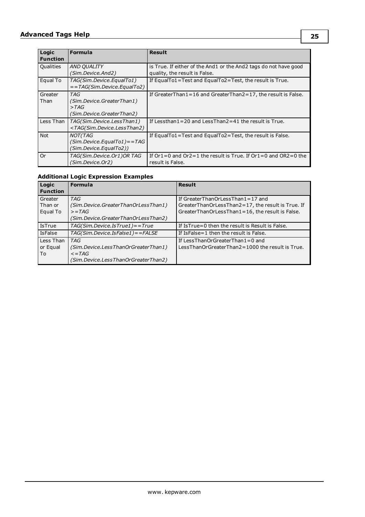# **Advanced Tags Help**

| Logic<br><b>Function</b> | <b>Formula</b>                                                                                                                                                                             | <b>Result</b>                                                                                     |
|--------------------------|--------------------------------------------------------------------------------------------------------------------------------------------------------------------------------------------|---------------------------------------------------------------------------------------------------|
| Qualities                | <b>AND QUALITY</b><br>(Sim.Device.And2)                                                                                                                                                    | is True. If either of the And1 or the And2 tags do not have good<br>quality, the result is False. |
| Equal To                 | TAG(Sim.Device.EqualTo1)<br>$=$ = TAG(Sim. Device. Equal To2)                                                                                                                              | If EqualTo1=Test and EqualTo2=Test, the result is True.                                           |
| Greater<br>Than          | TAG<br>(Sim. Device. Greater Than 1)<br>>TAG<br>(Sim. Device. Greater Than 2)                                                                                                              | If Greater Than $1 = 16$ and Greater Than $2 = 17$ , the result is False.                         |
| Less Than                | TAG(Sim.Device.LessThan1)<br><tag(sim.device.lessthan2)< td=""><td>If Lessthan <math>1 = 20</math> and Less Than <math>2 = 41</math> the result is True.</td></tag(sim.device.lessthan2)<> | If Lessthan $1 = 20$ and Less Than $2 = 41$ the result is True.                                   |
| <b>Not</b>               | NOT(TAG<br>(Sim. Device. Equal To1) = = TAG<br>(Sim. Device. Equal To 2))                                                                                                                  | If Equal To1 = Test and Equal To2 = Test, the result is False.                                    |
| 0r                       | TAG(Sim.Device.Or1)OR TAG<br>(Sim. Device. Or 2)                                                                                                                                           | If $Or1=0$ and $Or2=1$ the result is True. If $Or1=0$ and $OR2=0$ the<br>result is False.         |

### **Additional Logic Expression Examples**

| Logic<br><b>Function</b>       | Formula                                                                                                                   | <b>Result</b>                                                                                                                            |
|--------------------------------|---------------------------------------------------------------------------------------------------------------------------|------------------------------------------------------------------------------------------------------------------------------------------|
| Greater<br>Than or<br>Equal To | <b>TAG</b><br>(Sim. Device. Greater Than Or Less Than 1)<br>$>=TAG$<br>(Sim. Device. Greater Than Or Less Than 2)         | If GreaterThanOrLessThan1=17 and<br>GreaterThanOrLessThan2=17, the result is True. If<br>GreaterThanOrLessThan1=16, the result is False. |
| <b>IsTrue</b>                  | $TAG(Sim. Device. IsTrue1) = True$                                                                                        | If IsTrue=0 then the result is Result is False.                                                                                          |
| <b>IsFalse</b>                 | TAG(Sim.Device.IsFalse1) == FALSE                                                                                         | If IsFalse=1 then the result is False.                                                                                                   |
| Less Than<br>or Equal<br>To    | <b>TAG</b><br>(Sim. Device. Less Than Or Greater Than 1)<br>$\epsilon$ =TAG<br>(Sim. Device. Less Than Or Greater Than 2) | If LessThanOrGreaterThan1=0 and<br>LessThanOrGreaterThan2=1000 the result is True.                                                       |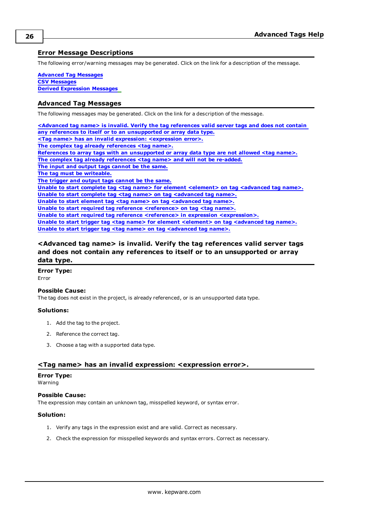### <span id="page-25-0"></span>**Error Message Descriptions**

The following error/warning messages may be generated. Click on the link for a description of the message.

**[Advanced](#page-25-1) Tag Messages CSV [Messages](#page-28-2) Derived [Expression](#page-32-3) Messages**

#### <span id="page-25-1"></span>**Advanced Tag Messages**

The following messages may be generated. Click on the link for a description of the message.

**[<Advanced](#page-25-2) tag name> is invalid. Verify the tag references valid server tags and does not contain any references to itself or to an [unsupported](#page-25-2) or array data type. <Tag name> has an invalid expression: [<expression](#page-25-3) error>. The complex tag already [references](#page-26-1) <tag name>. References to array tags with an [unsupported](#page-26-0) or array data type are not allowed <tag name>. The complex tag already [references](#page-26-1) <tag name> and will not be re-added. The input and output tags [cannot](#page-26-2) be the same. The tag must be [writeable.](#page-26-3) The trigger and output tags [cannot](#page-26-4) be the same. Unable to start complete tag <tag name> for element [<element>](#page-26-5) on tag <advanced tag name>. Unable to start complete tag <tag name> on tag [<advanced](#page-27-0) tag name>. Unable to start element tag <tag name> on tag [<advanced](#page-27-1) tag name>. Unable to start required tag reference [<reference>](#page-27-2) on tag <tag name>. Unable to start required tag reference <reference> in expression [<expression>.](#page-27-3) Unable to start trigger tag <tag name> for element [<element>](#page-28-0) on tag <advanced tag name>. Unable to start trigger tag <tag name> on tag [<advanced](#page-28-1) tag name>.** 

### <span id="page-25-2"></span>**<Advanced tag name> is invalid. Verify the tag references valid server tags and does not contain any references to itself or to an unsupported or array data type.**

**Error Type:**

Error

#### **Possible Cause:**

The tag does not exist in the project, is already referenced, or is an unsupported data type.

#### **Solutions:**

- 1. Add the tag to the project.
- 2. Reference the correct tag.
- 3. Choose a tag with a supported data type.

#### <span id="page-25-3"></span>**<Tag name> has an invalid expression: <expression error>.**

#### **Error Type:**

Warning

### **Possible Cause:**

The expression may contain an unknown tag, misspelled keyword, or syntax error.

### **Solution:**

- 1. Verify any tags in the expression exist and are valid. Correct as necessary.
- 2. Check the expression for misspelled keywords and syntax errors. Correct as necessary.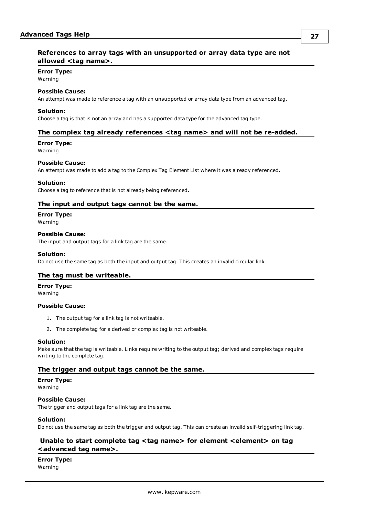### <span id="page-26-0"></span>**References to array tags with an unsupported or array data type are not allowed <tag name>.**

### **Error Type:**

Warning

### **Possible Cause:**

An attempt was made to reference a tag with an unsupported or array data type from an advanced tag.

#### **Solution:**

<span id="page-26-1"></span>Choose a tag is that is not an array and has a supported data type for the advanced tag type.

#### **The complex tag already references <tag name> and will not be re-added.**

#### **Error Type:**

Warning

#### **Possible Cause:**

An attempt was made to add a tag to the Complex Tag Element List where it was already referenced.

#### **Solution:**

<span id="page-26-2"></span>Choose a tag to reference that is not already being referenced.

### **The input and output tags cannot be the same.**

**Error Type:**

Warning

#### **Possible Cause:**

The input and output tags for a link tag are the same.

#### **Solution:**

<span id="page-26-3"></span>Do not use the same tag as both the input and output tag. This creates an invalid circular link.

#### **The tag must be writeable.**

#### **Error Type:**

Warning

#### **Possible Cause:**

- 1. The output tag for a link tag is not writeable.
- 2. The complete tag for a derived or complex tag is not writeable.

#### **Solution:**

Make sure that the tag is writeable. Links require writing to the output tag; derived and complex tags require writing to the complete tag.

#### <span id="page-26-4"></span>**The trigger and output tags cannot be the same.**

#### **Error Type:**

Warning

#### **Possible Cause:**

The trigger and output tags for a link tag are the same.

#### **Solution:**

<span id="page-26-5"></span>Do not use the same tag as both the trigger and output tag. This can create an invalid self-triggering link tag.

### **Unable to start complete tag <tag name> for element <element> on tag <advanced tag name>.**

**Error Type:**

Warning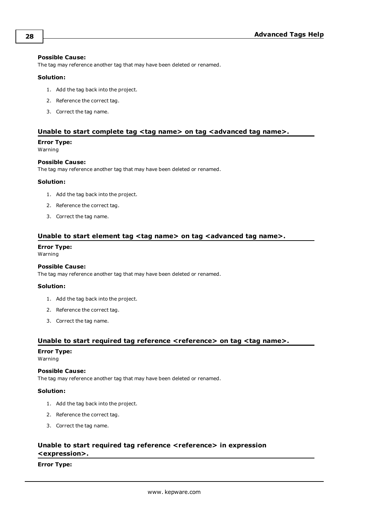#### **Possible Cause:**

The tag may reference another tag that may have been deleted or renamed.

#### **Solution:**

- 1. Add the tag back into the project.
- 2. Reference the correct tag.
- 3. Correct the tag name.

### <span id="page-27-0"></span>**Unable to start complete tag <tag name> on tag <advanced tag name>.**

#### **Error Type:**

Warning

#### **Possible Cause:**

The tag may reference another tag that may have been deleted or renamed.

#### **Solution:**

- 1. Add the tag back into the project.
- 2. Reference the correct tag.
- 3. Correct the tag name.

### <span id="page-27-1"></span>**Unable to start element tag <tag name> on tag <advanced tag name>.**

### **Error Type:**

Warning

#### **Possible Cause:**

The tag may reference another tag that may have been deleted or renamed.

#### **Solution:**

- 1. Add the tag back into the project.
- 2. Reference the correct tag.
- 3. Correct the tag name.

### <span id="page-27-2"></span>**Unable to start required tag reference <reference> on tag <tag name>.**

#### **Error Type:**

Warning

#### **Possible Cause:**

The tag may reference another tag that may have been deleted or renamed.

#### **Solution:**

- 1. Add the tag back into the project.
- 2. Reference the correct tag.
- 3. Correct the tag name.

### <span id="page-27-3"></span>**Unable to start required tag reference <reference> in expression <expression>.**

#### **Error Type:**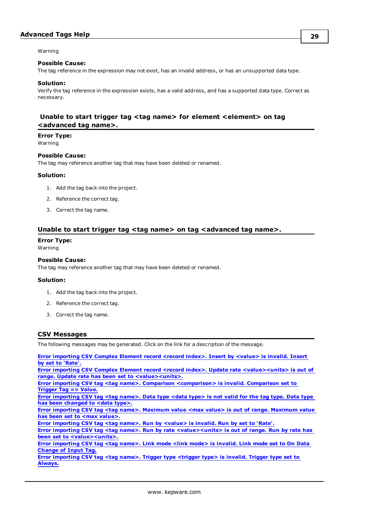Warning

#### **Possible Cause:**

The tag reference in the expression may not exist, has an invalid address, or has an unsupported data type.

#### **Solution:**

Verify the tag reference in the expression exists, has a valid address, and has a supported data type. Correct as necessary.

### <span id="page-28-0"></span>**Unable to start trigger tag <tag name> for element <element> on tag <advanced tag name>.**

# **Error Type:**

Warning

### **Possible Cause:**

The tag may reference another tag that may have been deleted or renamed.

#### **Solution:**

- 1. Add the tag back into the project.
- 2. Reference the correct tag.
- 3. Correct the tag name.

### <span id="page-28-1"></span>**Unable to start trigger tag <tag name> on tag <advanced tag name>.**

#### **Error Type:**

Warning

#### **Possible Cause:**

The tag may reference another tag that may have been deleted or renamed.

#### **Solution:**

- 1. Add the tag back into the project.
- 2. Reference the correct tag.
- 3. Correct the tag name.

#### <span id="page-28-2"></span>**CSV Messages**

The following messages may be generated. Click on the link for a description of the message.

**Error [importing](#page-29-0) CSV Complex Element record <record index>. Insert by <value> is invalid. Insert by set to ['Rate'.](#page-29-0) Error importing CSV Complex Element record <record index>. Update rate [<value><units>](#page-29-1) is out of range. Update rate has been set to [<value><units>.](#page-29-1) Error importing CSV tag <tag name>. Comparison [<comparison>](#page-29-2) is invalid. Comparison set to [Trigger](#page-29-2) Tag == Value.** Error [importing](#page-29-3) CSV tag <tag name>. Data type <data type> is not valid for the tag type. Data type **has been [changed](#page-29-3) to <data type>. Error [importing](#page-30-0) CSV tag <tag name>. Maximum value <max value> is out of range. Maximum value has been set to <max [value>.](#page-30-0) Error [importing](#page-30-1) CSV tag <tag name>. Run by <value> is invalid. Run by set to 'Rate'. Error importing CSV tag <tag name>. Run by rate [<value><units>](#page-30-2) is out of range. Run by rate has been set to [<value><units>.](#page-30-2) Error [importing](#page-31-1) CSV tag <tag name>. Link mode <link mode> is invalid. Link mode set to On Data [Change](#page-31-1) of Input Tag. Error [importing](#page-31-2) CSV tag <tag name>. Trigger type <trigger type> is invalid. Trigger type set to [Always.](#page-31-2)**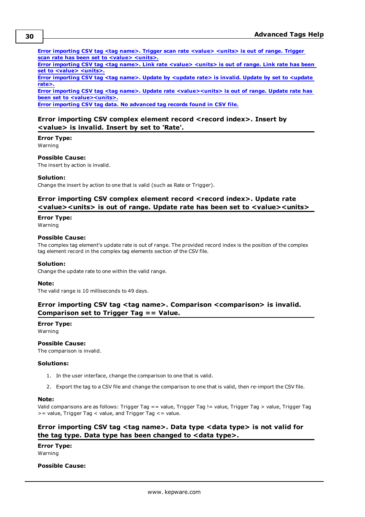**Error [importing](#page-31-0) CSV tag <tag name>. Trigger scan rate <value> <units> is out of range. Trigger scan rate has been set to <value> [<units>.](#page-31-0)**

**Error [importing](#page-32-0) CSV tag <tag name>. Link rate <value> <units> is out of range. Link rate has been set to <value> [<units>.](#page-32-0)**

**Error [importing](#page-31-3) CSV tag <tag name>. Update by <update rate> is invalid. Update by set to <update [rate>.](#page-31-3)**

**Error importing CSV tag <tag name>. Update rate [<value><units>](#page-32-1) is out of range. Update rate has been set to [<value><units>.](#page-32-1)**

<span id="page-29-0"></span>**Error [importing](#page-32-2) CSV tag data. No advanced tag records found in CSV file.**

### **Error importing CSV complex element record <record index>. Insert by <value> is invalid. Insert by set to 'Rate'.**

### **Error Type:**

Warning

#### **Possible Cause:**

The insert by action is invalid.

#### **Solution:**

<span id="page-29-1"></span>Change the insert by action to one that is valid (such as Rate or Trigger).

### **Error importing CSV complex element record <record index>. Update rate <value><units> is out of range. Update rate has been set to <value><units>**

#### **Error Type:**

Warning

#### **Possible Cause:**

The complex tag element's update rate is out of range. The provided record index is the position of the complex tag element record in the complex tag elements section of the CSV file.

#### **Solution:**

Change the update rate to one within the valid range.

#### **Note:**

<span id="page-29-2"></span>The valid range is 10 milliseconds to 49 days.

### **Error importing CSV tag <tag name>. Comparison <comparison> is invalid. Comparison set to Trigger Tag == Value.**

### **Error Type:**

Warning

### **Possible Cause:**

The comparison is invalid.

#### **Solutions:**

- 1. In the user interface, change the comparison to one that is valid.
- 2. Export the tag to a CSV file and change the comparison to one that is valid, then re-import the CSV file.

#### **Note:**

Valid comparisons are as follows: Trigger Tag == value, Trigger Tag != value, Trigger Tag > value, Trigger Tag >= value, Trigger Tag < value, and Trigger Tag <= value.

### <span id="page-29-3"></span>**Error importing CSV tag <tag name>. Data type <data type> is not valid for the tag type. Data type has been changed to <data type>.**

**Error Type:** Warning

#### **Possible Cause:**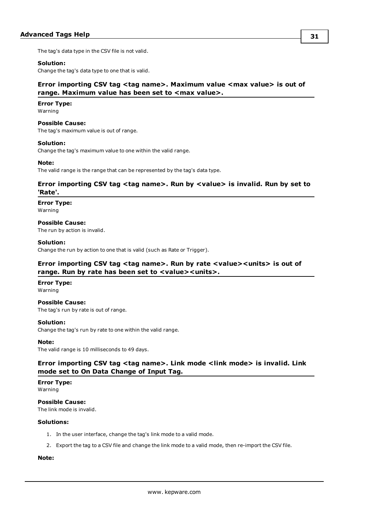The tag's data type in the CSV file is not valid.

#### **Solution:**

<span id="page-30-0"></span>Change the tag's data type to one that is valid.

### **Error importing CSV tag <tag name>. Maximum value <max value> is out of range. Maximum value has been set to <max value>.**

#### **Error Type:**

Warning

#### **Possible Cause:**

The tag's maximum value is out of range.

#### **Solution:**

Change the tag's maximum value to one within the valid range.

#### **Note:**

<span id="page-30-1"></span>The valid range is the range that can be represented by the tag's data type.

### **Error importing CSV tag <tag name>. Run by <value> is invalid. Run by set to 'Rate'.**

#### **Error Type:** Warning

### **Possible Cause:**

The run by action is invalid.

#### **Solution:**

<span id="page-30-2"></span>Change the run by action to one that is valid (such as Rate or Trigger).

### **Error importing CSV tag <tag name>. Run by rate <value><units> is out of range. Run by rate has been set to <value><units>.**

#### **Error Type:**

Warning

#### **Possible Cause:**

The tag's run by rate is out of range.

### **Solution:**

Change the tag's run by rate to one within the valid range.

#### **Note:**

<span id="page-30-3"></span>The valid range is 10 milliseconds to 49 days.

### **Error importing CSV tag <tag name>. Link mode <link mode> is invalid. Link mode set to On Data Change of Input Tag.**

#### **Error Type:**

Warning

**Possible Cause:** The link mode is invalid.

#### **Solutions:**

- 1. In the user interface, change the tag's link mode to a valid mode.
- 2. Export the tag to a CSV file and change the link mode to a valid mode, then re-import the CSV file.

#### **Note:**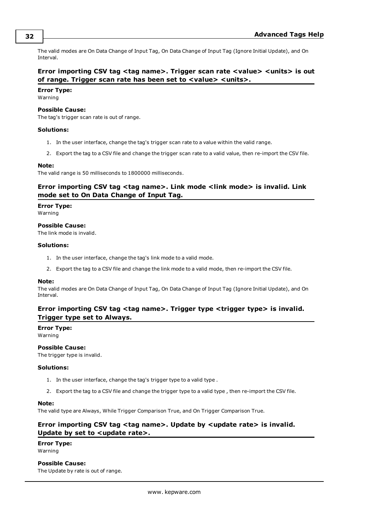The valid modes are On Data Change of Input Tag, On Data Change of Input Tag (Ignore Initial Update), and On Interval.

### <span id="page-31-0"></span>**Error importing CSV tag <tag name>. Trigger scan rate <value> <units> is out of range. Trigger scan rate has been set to <value> <units>.**

### **Error Type:**

Warning

#### **Possible Cause:**

The tag's trigger scan rate is out of range.

#### **Solutions:**

- 1. In the user interface, change the tag's trigger scan rate to a value within the valid range.
- 2. Export the tag to a CSV file and change the trigger scan rate to a valid value, then re-import the CSV file.

#### **Note:**

<span id="page-31-1"></span>The valid range is 50 milliseconds to 1800000 milliseconds.

### **Error importing CSV tag <tag name>. Link mode <link mode> is invalid. Link mode set to On Data Change of Input Tag.**

**Error Type:**

Warning

**Possible Cause:**

The link mode is invalid.

#### **Solutions:**

- 1. In the user interface, change the tag's link mode to a valid mode.
- 2. Export the tag to a CSV file and change the link mode to a valid mode, then re-import the CSV file.

#### **Note:**

The valid modes are On Data Change of Input Tag, On Data Change of Input Tag (Ignore Initial Update), and On Interval.

### <span id="page-31-2"></span>**Error importing CSV tag <tag name>. Trigger type <trigger type> is invalid. Trigger type set to Always.**

#### **Error Type:**

Warning

#### **Possible Cause:**

The trigger type is invalid.

#### **Solutions:**

- 1. In the user interface, change the tag's trigger type to a valid type .
- 2. Export the tag to a CSV file and change the trigger type to a valid type , then re-import the CSV file.

#### **Note:**

<span id="page-31-3"></span>The valid type are Always, While Trigger Comparison True, and On Trigger Comparison True.

### **Error importing CSV tag <tag name>. Update by <update rate> is invalid. Update by set to <update rate>.**

#### **Error Type:** Warning

#### **Possible Cause:**

The Update by rate is out of range.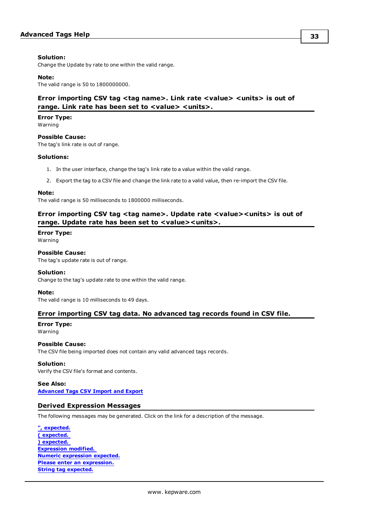#### **Solution:**

Change the Update by rate to one within the valid range.

#### **Note:**

<span id="page-32-0"></span>The valid range is 50 to 1800000000.

### **Error importing CSV tag <tag name>. Link rate <value> <units> is out of range. Link rate has been set to <value> <units>.**

### **Error Type:**

Warning

### **Possible Cause:**

The tag's link rate is out of range.

#### **Solutions:**

- 1. In the user interface, change the tag's link rate to a value within the valid range.
- 2. Export the tag to a CSV file and change the link rate to a valid value, then re-import the CSV file.

#### **Note:**

<span id="page-32-1"></span>The valid range is 50 milliseconds to 1800000 milliseconds.

### **Error importing CSV tag <tag name>. Update rate <value><units> is out of range. Update rate has been set to <value><units>.**

**Error Type:** Warning

#### **Possible Cause:**

The tag's update rate is out of range.

#### **Solution:**

Change to the tag's update rate to one within the valid range.

#### **Note:**

<span id="page-32-2"></span>The valid range is 10 milliseconds to 49 days.

#### **Error importing CSV tag data. No advanced tag records found in CSV file.**

# **Error Type:**

Warning

### **Possible Cause:**

The CSV file being imported does not contain any valid advanced tags records.

#### **Solution:**

Verify the CSV file's format and contents.

#### **See Also:**

<span id="page-32-3"></span>**Advanced Tags [CSV Import](#page-4-1) and Export**

#### **Derived Expression Messages**

The following messages may be generated. Click on the link for a description of the message.

| ", expected.                        |  |  |  |  |
|-------------------------------------|--|--|--|--|
| (expected.                          |  |  |  |  |
| ) expected.                         |  |  |  |  |
| <b>Expression modified.</b>         |  |  |  |  |
| <b>Numeric expression expected.</b> |  |  |  |  |
| Please enter an expression.         |  |  |  |  |
| <b>String tag expected.</b>         |  |  |  |  |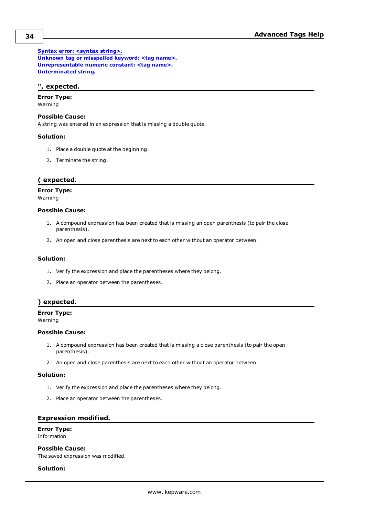**Syntax error: [<syntax](#page-34-3) string>. Unknown tag or [misspelled](#page-34-4) keyword: <tag name>. [Unrepresentable](#page-35-0) numeric constant: <tag name>. [Unterminated](#page-35-1) string.**

### <span id="page-33-0"></span>**", expected.**

# **Error Type:**

Warning

### **Possible Cause:**

A string was entered in an expression that is missing a double quote.

#### **Solution:**

- 1. Place a double quote at the beginning.
- 2. Terminate the string.

### <span id="page-33-1"></span>**( expected.**

## **Error Type:**

Warning

### **Possible Cause:**

- 1. A compound expression has been created that is missing an open parenthesis (to pair the close parenthesis).
- 2. An open and close parenthesis are next to each other without an operator between.

#### **Solution:**

- 1. Verify the expression and place the parentheses where they belong.
- 2. Place an operator between the parentheses.

### <span id="page-33-2"></span>**) expected.**

#### **Error Type:**

Warning

#### **Possible Cause:**

- 1. A compound expression has been created that is missing a close parenthesis (to pair the open parenthesis).
- 2. An open and close parenthesis are next to each other without an operator between.

### **Solution:**

- 1. Verify the expression and place the parentheses where they belong.
- 2. Place an operator between the parentheses.

### <span id="page-33-3"></span>**Expression modified.**

### **Error Type:**

Information

### **Possible Cause:**

The saved expression was modified.

### **Solution:**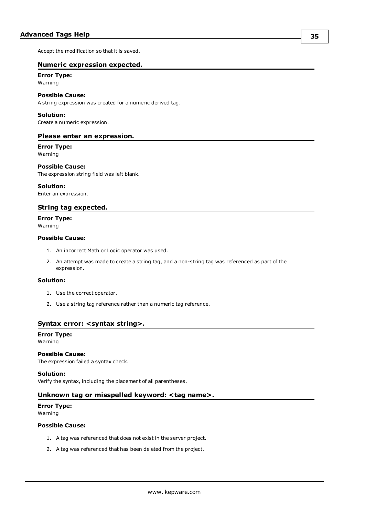<span id="page-34-0"></span>Accept the modification so that it is saved.

#### **Numeric expression expected.**

#### **Error Type:** Warning

#### **Possible Cause:**

A string expression was created for a numeric derived tag.

#### **Solution:**

<span id="page-34-1"></span>Create a numeric expression.

#### **Please enter an expression.**

#### **Error Type:** Warning

#### **Possible Cause:**

The expression string field was left blank.

#### **Solution:**

<span id="page-34-2"></span>Enter an expression.

#### **String tag expected.**

### **Error Type:**

Warning

#### **Possible Cause:**

- 1. An incorrect Math or Logic operator was used.
- 2. An attempt was made to create a string tag, and a non-string tag was referenced as part of the expression.

#### **Solution:**

- 1. Use the correct operator.
- 2. Use a string tag reference rather than a numeric tag reference.

#### <span id="page-34-3"></span>**Syntax error: <syntax string>.**

# **Error Type:**

Warning

### **Possible Cause:**

The expression failed a syntax check.

**Solution:**

<span id="page-34-4"></span>Verify the syntax, including the placement of all parentheses.

#### **Unknown tag or misspelled keyword: <tag name>.**

## **Error Type:**

Warning

#### **Possible Cause:**

- 1. A tag was referenced that does not exist in the server project.
- 2. A tag was referenced that has been deleted from the project.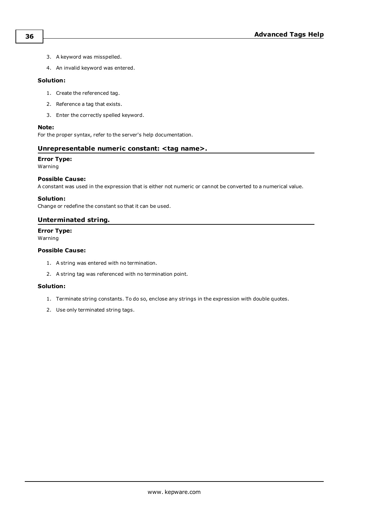- 3. A keyword was misspelled.
- 4. An invalid keyword was entered.

#### **Solution:**

- 1. Create the referenced tag.
- 2. Reference a tag that exists.
- 3. Enter the correctly spelled keyword.

#### **Note:**

<span id="page-35-0"></span>For the proper syntax, refer to the server's help documentation.

### **Unrepresentable numeric constant: <tag name>.**

### **Error Type:**

Warning

#### **Possible Cause:**

A constant was used in the expression that is either not numeric or cannot be converted to a numerical value.

#### **Solution:**

<span id="page-35-1"></span>Change or redefine the constant so that it can be used.

#### **Unterminated string.**

**Error Type:** Warning

### **Possible Cause:**

- 1. A string was entered with no termination.
- 2. A string tag was referenced with no termination point.

#### **Solution:**

- 1. Terminate string constants. To do so, enclose any strings in the expression with double quotes.
- 2. Use only terminated string tags.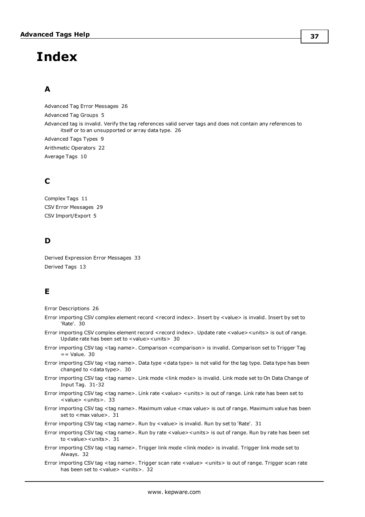# <span id="page-36-0"></span>**Index**

# **A**

Advanced Tag Error Messages [26](#page-25-1) Advanced Tag Groups [5](#page-4-0) Advanced tag is invalid. Verify the tag references valid server tags and does not contain any references to itself or to an unsupported or array data type. [26](#page-25-2) Advanced Tags Types [9](#page-8-0) Arithmetic Operators [22](#page-21-0) Average Tags [10](#page-9-0)

# **C**

Complex Tags [11](#page-10-0) CSV Error Messages [29](#page-28-2) CSV Import/Export [5](#page-4-1)

# **D**

Derived Expression Error Messages [33](#page-32-3) Derived Tags [13](#page-12-0)

# **E**

Error Descriptions [26](#page-25-0)

- Error importing CSV complex element record <record index>. Insert by <value> is invalid. Insert by set to 'Rate'. [30](#page-29-0)
- Error importing CSV complex element record <record index>. Update rate <value><units> is out of range. Update rate has been set to <value><units> [30](#page-29-1)
- Error importing CSV tag <tag name>. Comparison <comparison> is invalid. Comparison set to Trigger Tag == Value. [30](#page-29-2)
- Error importing CSV tag <tag name>. Data type <data type> is not valid for the tag type. Data type has been changed to <data type>. [30](#page-29-3)
- Error importing CSV tag <tag name>. Link mode <link mode> is invalid. Link mode set to On Data Change of Input Tag. [31-32](#page-30-3)
- Error importing CSV tag <tag name>. Link rate <value> <units> is out of range. Link rate has been set to <value> <units>. [33](#page-32-0)
- Error importing CSV tag <tag name>. Maximum value <max value> is out of range. Maximum value has been set to <max value>. [31](#page-30-0)

Error importing CSV tag <tag name>. Run by <value> is invalid. Run by set to 'Rate'. [31](#page-30-1)

- Error importing CSV tag <tag name>. Run by rate <value><units> is out of range. Run by rate has been set to <value><units>. [31](#page-30-2)
- Error importing CSV tag <tag name>. Trigger link mode <link mode> is invalid. Trigger link mode set to Always. [32](#page-31-2)
- Error importing CSV tag <tag name>. Trigger scan rate <value> <units> is out of range. Trigger scan rate has been set to <value> <units>. [32](#page-31-0)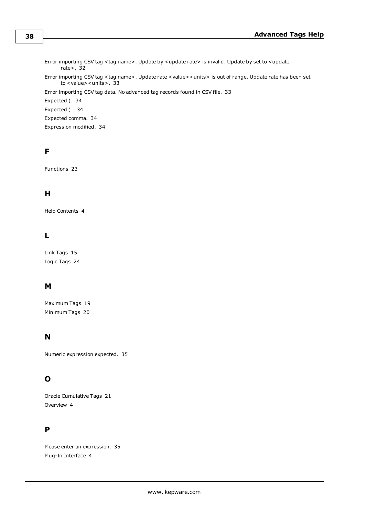Error importing CSV tag <tag name>. Update by <update rate> is invalid. Update by set to <update rate>. [32](#page-31-3) Error importing CSV tag <tag name>. Update rate <value><units> is out of range. Update rate has been set to <value><units>. [33](#page-32-1) Error importing CSV tag data. No advanced tag records found in CSV file. [33](#page-32-2) Expected (. [34](#page-33-1) Expected ) . [34](#page-33-2) Expected comma. [34](#page-33-0) Expression modified. [34](#page-33-3)

# **F**

Functions [23](#page-22-0)

# **H**

Help Contents [4](#page-3-0)

# **L**

Link Tags [15](#page-14-0) Logic Tags [24](#page-23-0)

# **M**

Maximum Tags [19](#page-18-0) Minimum Tags [20](#page-19-0)

# **N**

Numeric expression expected. [35](#page-34-0)

# **O**

Oracle Cumulative Tags [21](#page-20-0) Overview [4](#page-3-1)

# **P**

Please enter an expression. [35](#page-34-1) Plug-In Interface [4](#page-3-2)